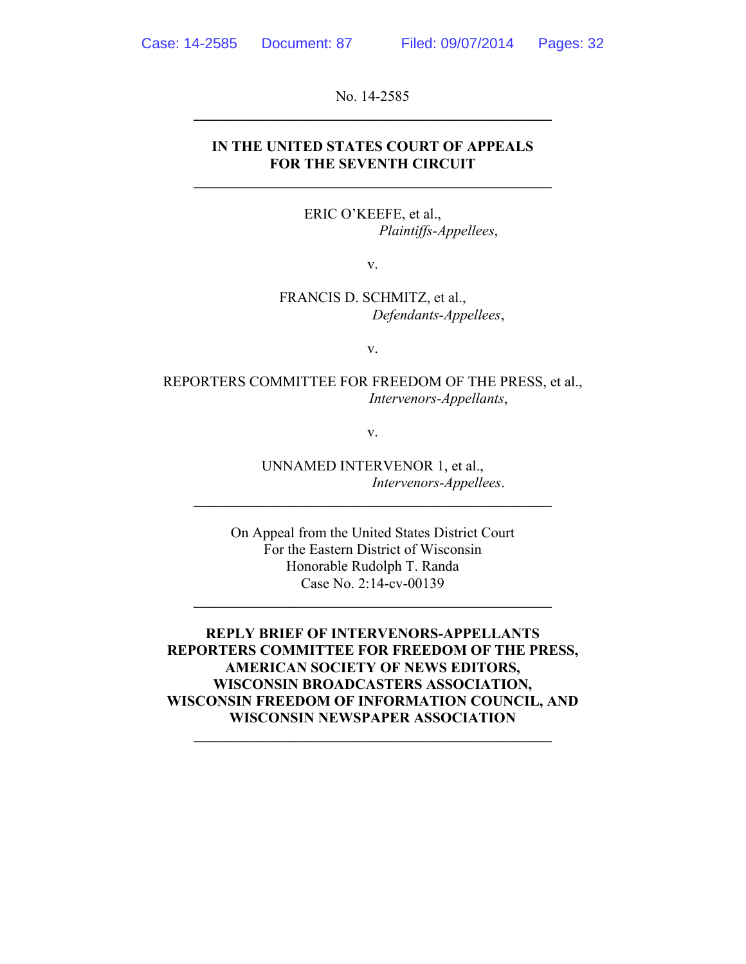No. 14-2585  $\mathcal{L} = \{ \mathcal{L} \}$ 

#### **IN THE UNITED STATES COURT OF APPEALS FOR THE SEVENTH CIRCUIT**

**\_\_\_\_\_\_\_\_\_\_\_\_\_\_\_\_\_\_\_\_\_\_\_\_\_\_\_\_\_\_\_\_\_\_\_\_\_\_\_\_\_\_\_\_\_\_\_\_\_** 

ERIC O'KEEFE, et al., *Plaintiffs-Appellees*,

v.

FRANCIS D. SCHMITZ, et al., *Defendants-Appellees*,

v.

REPORTERS COMMITTEE FOR FREEDOM OF THE PRESS, et al., *Intervenors-Appellants*,

v.

UNNAMED INTERVENOR 1, et al., *Intervenors-Appellees*.

On Appeal from the United States District Court For the Eastern District of Wisconsin Honorable Rudolph T. Randa Case No. 2:14-cv-00139

 $\mathcal{L} = \{ \mathcal{L} \}$ 

**\_\_\_\_\_\_\_\_\_\_\_\_\_\_\_\_\_\_\_\_\_\_\_\_\_\_\_\_\_\_\_\_\_\_\_\_\_\_\_\_\_\_\_\_\_\_\_\_\_** 

**REPLY BRIEF OF INTERVENORS-APPELLANTS REPORTERS COMMITTEE FOR FREEDOM OF THE PRESS, AMERICAN SOCIETY OF NEWS EDITORS, WISCONSIN BROADCASTERS ASSOCIATION, WISCONSIN FREEDOM OF INFORMATION COUNCIL, AND WISCONSIN NEWSPAPER ASSOCIATION \_\_\_\_\_\_\_\_\_\_\_\_\_\_\_\_\_\_\_\_\_\_\_\_\_\_\_\_\_\_\_\_\_\_\_\_\_\_\_\_\_\_\_\_\_\_\_\_\_**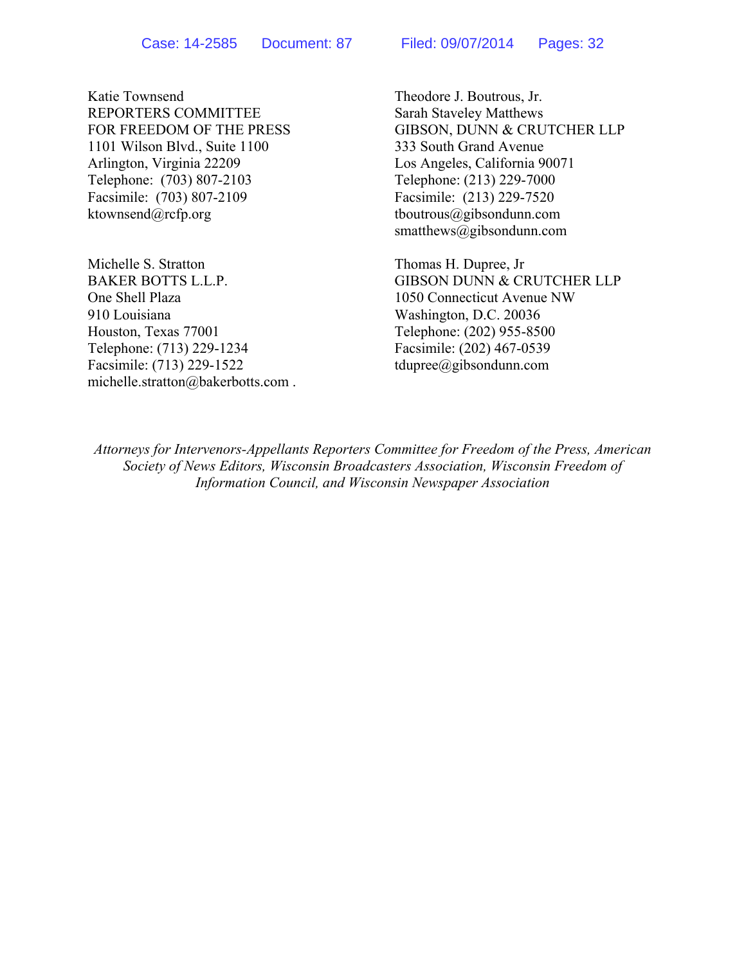Katie Townsend Theodore J. Boutrous, Jr. REPORTERS COMMITTEE Sarah Staveley Matthews 1101 Wilson Blvd., Suite 1100 333 South Grand Avenue Arlington, Virginia 22209 Los Angeles, California 90071 Telephone: (703) 807-2103 Telephone: (213) 229-7000 Facsimile: (703) 807-2109 Facsimile: (213) 229-7520 ktownsend@rcfp.org tboutrous@gibsondunn.com

Michelle S. Stratton Thomas H. Dupree, Jr One Shell Plaza 1050 Connecticut Avenue NW 910 Louisiana Washington, D.C. 20036 Houston, Texas 77001 Telephone: (202) 955-8500 Telephone: (713) 229-1234 Facsimile: (202) 467-0539 Facsimile: (713) 229-1522 tdupree@gibsondunn.com michelle.stratton@bakerbotts.com .

FOR FREEDOM OF THE PRESS GIBSON, DUNN & CRUTCHER LLP smatthews@gibsondunn.com

BAKER BOTTS L.L.P. GIBSON DUNN & CRUTCHER LLP

*Attorneys for Intervenors-Appellants Reporters Committee for Freedom of the Press, American Society of News Editors, Wisconsin Broadcasters Association, Wisconsin Freedom of Information Council, and Wisconsin Newspaper Association*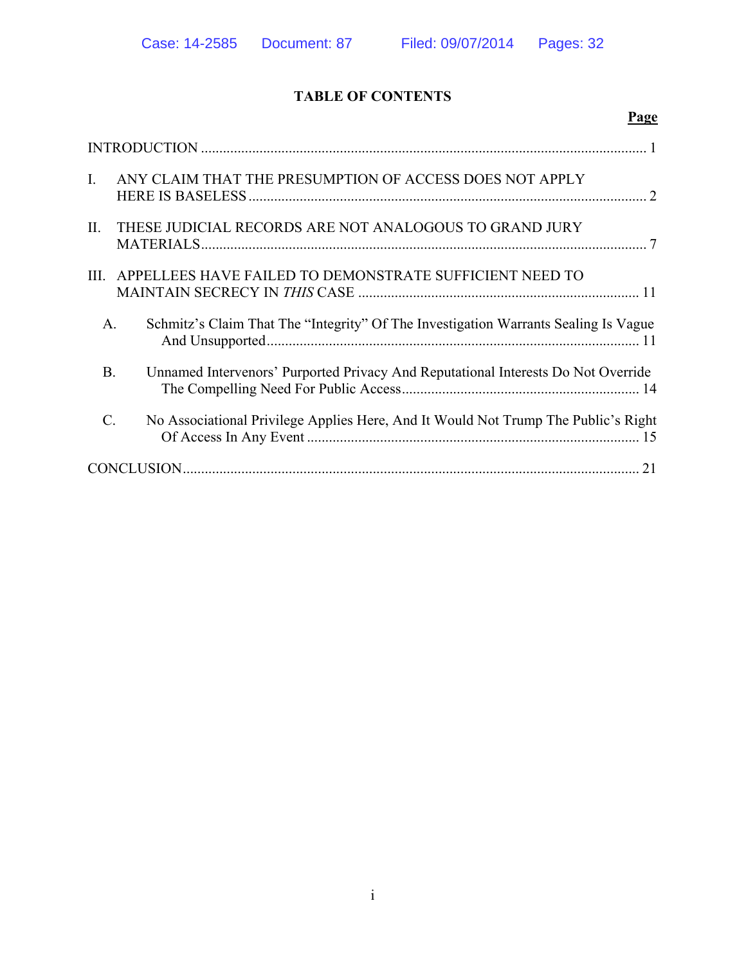# **TABLE OF CONTENTS**

|                 | Page                                                                                |  |
|-----------------|-------------------------------------------------------------------------------------|--|
|                 |                                                                                     |  |
| $\mathbf{I}$ .  | ANY CLAIM THAT THE PRESUMPTION OF ACCESS DOES NOT APPLY                             |  |
| II.             | THESE JUDICIAL RECORDS ARE NOT ANALOGOUS TO GRAND JURY                              |  |
| III.            | APPELLEES HAVE FAILED TO DEMONSTRATE SUFFICIENT NEED TO                             |  |
| A.              | Schmitz's Claim That The "Integrity" Of The Investigation Warrants Sealing Is Vague |  |
| <b>B</b> .      | Unnamed Intervenors' Purported Privacy And Reputational Interests Do Not Override   |  |
| $\mathcal{C}$ . | No Associational Privilege Applies Here, And It Would Not Trump The Public's Right  |  |
|                 |                                                                                     |  |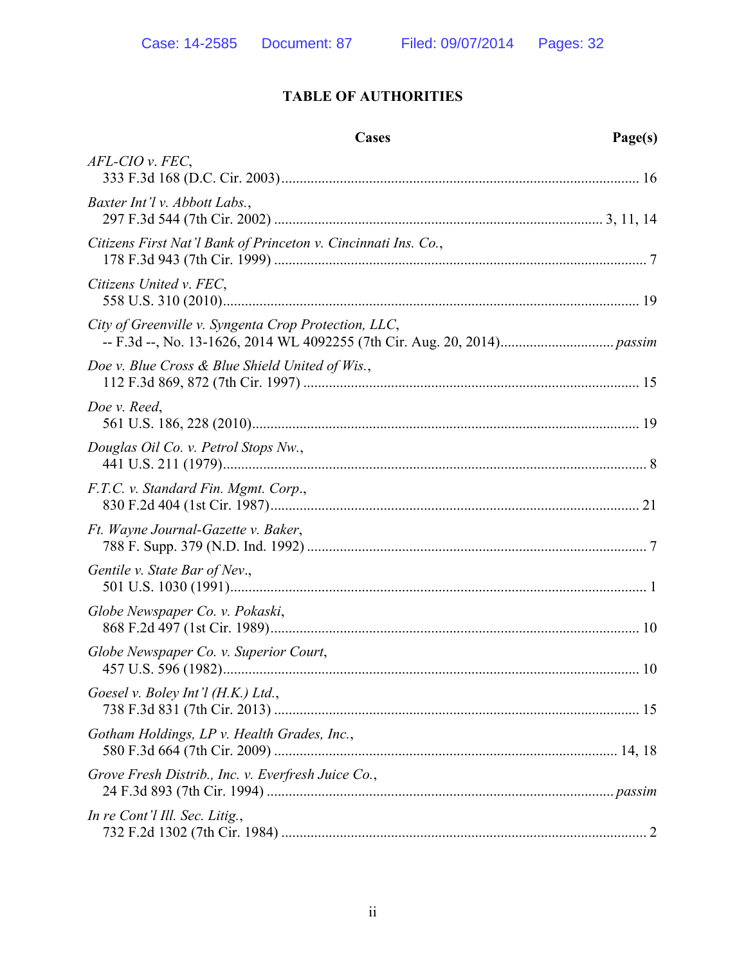# **TABLE OF AUTHORITIES**

|                                                                | Cases | Page(s) |
|----------------------------------------------------------------|-------|---------|
| $AFL-CIO$ v. $FEC$ ,                                           |       |         |
| Baxter Int'l v. Abbott Labs.,                                  |       |         |
| Citizens First Nat'l Bank of Princeton v. Cincinnati Ins. Co., |       |         |
| Citizens United v. FEC,                                        |       |         |
| City of Greenville v. Syngenta Crop Protection, LLC,           |       |         |
| Doe v. Blue Cross & Blue Shield United of Wis.,                |       |         |
| Doe v. Reed,                                                   |       |         |
| Douglas Oil Co. v. Petrol Stops Nw.,                           |       |         |
| F.T.C. v. Standard Fin. Mgmt. Corp.,                           |       |         |
| Ft. Wayne Journal-Gazette v. Baker,                            |       |         |
| Gentile v. State Bar of Nev.,                                  |       |         |
| Globe Newspaper Co. v. Pokaski,                                |       |         |
| Globe Newspaper Co. v. Superior Court,                         |       |         |
| Goesel v. Boley Int'l (H.K.) Ltd.,                             |       |         |
| Gotham Holdings, LP v. Health Grades, Inc.,                    |       |         |
| Grove Fresh Distrib., Inc. v. Everfresh Juice Co.,             |       |         |
| In re Cont'l Ill. Sec. Litig.,                                 |       |         |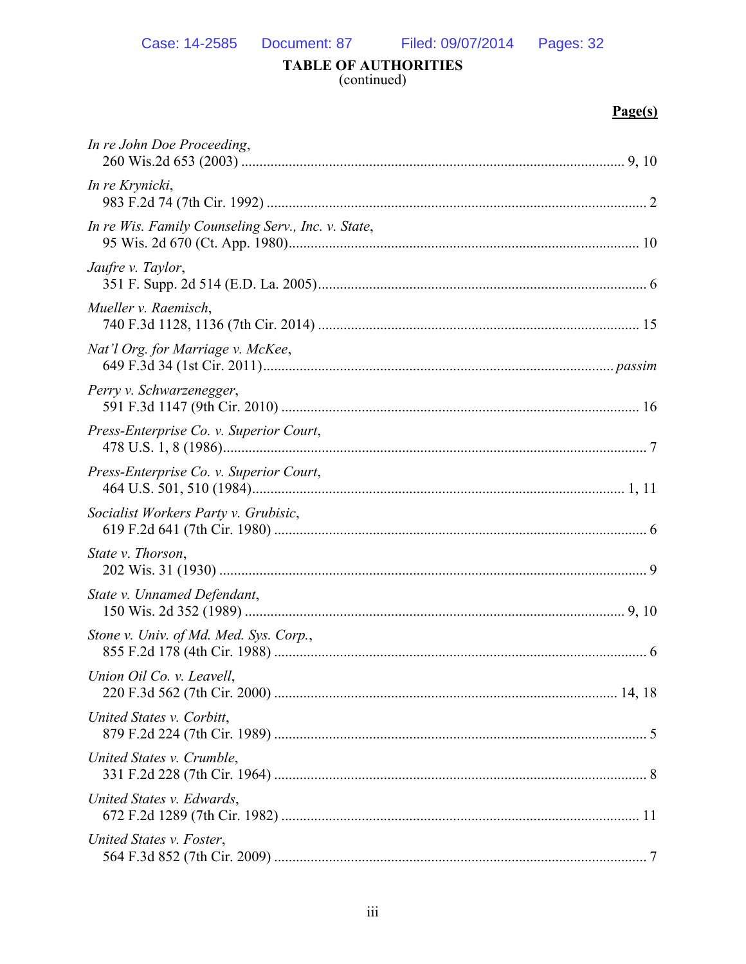# TABLE OF AUTHORITIES<br>(continued)

# $Page(s)$

| In re John Doe Proceeding,                         |  |
|----------------------------------------------------|--|
| In re Krynicki,                                    |  |
| In re Wis. Family Counseling Serv., Inc. v. State, |  |
| Jaufre v. Taylor,                                  |  |
| Mueller v. Raemisch,                               |  |
| Nat'l Org. for Marriage v. McKee,                  |  |
| Perry v. Schwarzenegger,                           |  |
| Press-Enterprise Co. v. Superior Court,            |  |
| Press-Enterprise Co. v. Superior Court,            |  |
| Socialist Workers Party v. Grubisic,               |  |
| State v. Thorson,                                  |  |
| State v. Unnamed Defendant,                        |  |
| Stone v. Univ. of Md. Med. Sys. Corp.,             |  |
| Union Oil Co. v. Leavell,                          |  |
| United States v. Corbitt,                          |  |
| United States v. Crumble,                          |  |
| United States v. Edwards,                          |  |
| United States v. Foster,                           |  |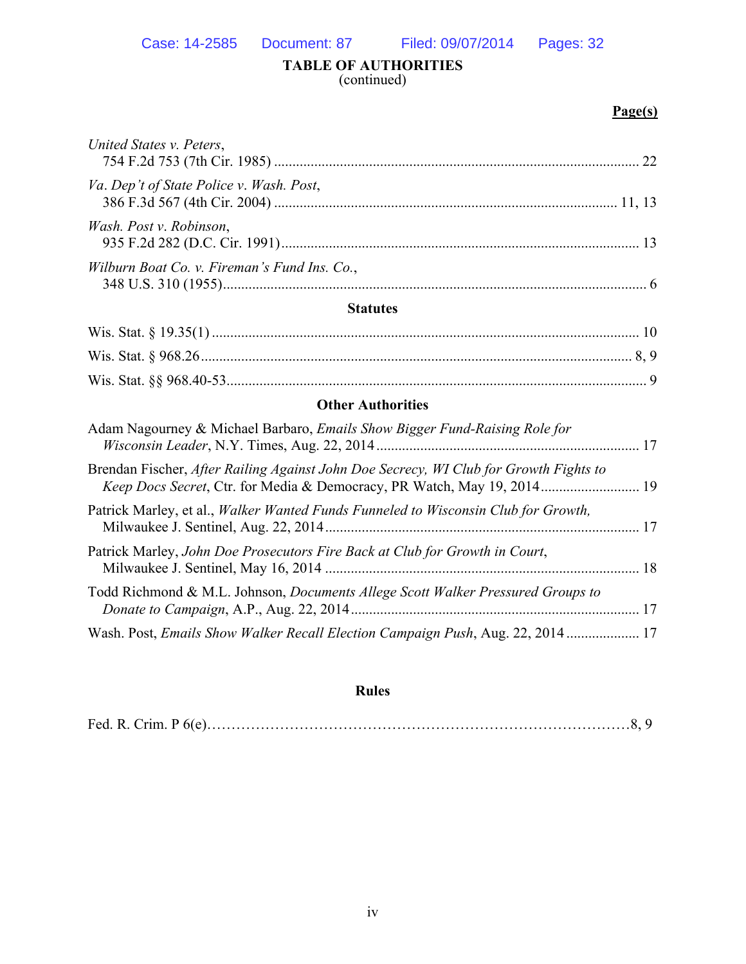#### **TABLE OF AUTHORITIES**  (continued)

#### **Page(s)**

| <b>Statutes</b>                              |  |
|----------------------------------------------|--|
| Wilburn Boat Co. v. Fireman's Fund Ins. Co., |  |
| Wash. Post v. Robinson,                      |  |
| Va. Dep't of State Police v. Wash. Post,     |  |
| United States v. Peters,                     |  |

# Wis. Stat. §§ 968.40-53................................................................................................................... 9 **Other Authorities**

| Adam Nagourney & Michael Barbaro, <i>Emails Show Bigger Fund-Raising Role for</i>                                                                                |  |
|------------------------------------------------------------------------------------------------------------------------------------------------------------------|--|
| Brendan Fischer, After Railing Against John Doe Secrecy, WI Club for Growth Fights to<br>Keep Docs Secret, Ctr. for Media & Democracy, PR Watch, May 19, 2014 19 |  |
| Patrick Marley, et al., <i>Walker Wanted Funds Funneled to Wisconsin Club for Growth</i> ,                                                                       |  |
| Patrick Marley, John Doe Prosecutors Fire Back at Club for Growth in Court,                                                                                      |  |
| Todd Richmond & M.L. Johnson, <i>Documents Allege Scott Walker Pressured Groups to</i>                                                                           |  |
| Wash. Post, Emails Show Walker Recall Election Campaign Push, Aug. 22, 2014  17                                                                                  |  |

#### **Rules**

|--|--|--|--|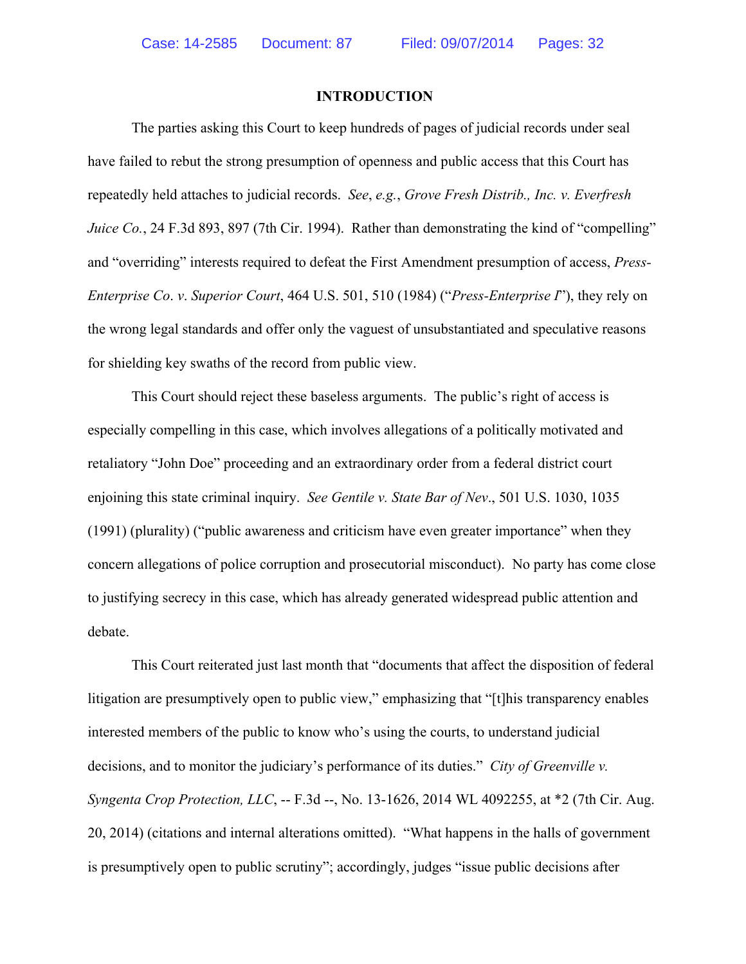#### **INTRODUCTION**

The parties asking this Court to keep hundreds of pages of judicial records under seal have failed to rebut the strong presumption of openness and public access that this Court has repeatedly held attaches to judicial records. *See*, *e.g.*, *Grove Fresh Distrib., Inc. v. Everfresh Juice Co.*, 24 F.3d 893, 897 (7th Cir. 1994). Rather than demonstrating the kind of "compelling" and "overriding" interests required to defeat the First Amendment presumption of access, *Press-Enterprise Co*. *v*. *Superior Court*, 464 U.S. 501, 510 (1984) ("*Press-Enterprise I*"), they rely on the wrong legal standards and offer only the vaguest of unsubstantiated and speculative reasons for shielding key swaths of the record from public view.

This Court should reject these baseless arguments. The public's right of access is especially compelling in this case, which involves allegations of a politically motivated and retaliatory "John Doe" proceeding and an extraordinary order from a federal district court enjoining this state criminal inquiry. *See Gentile v. State Bar of Nev*., 501 U.S. 1030, 1035 (1991) (plurality) ("public awareness and criticism have even greater importance" when they concern allegations of police corruption and prosecutorial misconduct). No party has come close to justifying secrecy in this case, which has already generated widespread public attention and debate.

This Court reiterated just last month that "documents that affect the disposition of federal litigation are presumptively open to public view," emphasizing that "[t]his transparency enables interested members of the public to know who's using the courts, to understand judicial decisions, and to monitor the judiciary's performance of its duties." *City of Greenville v. Syngenta Crop Protection, LLC*, -- F.3d --, No. 13-1626, 2014 WL 4092255, at \*2 (7th Cir. Aug. 20, 2014) (citations and internal alterations omitted). "What happens in the halls of government is presumptively open to public scrutiny"; accordingly, judges "issue public decisions after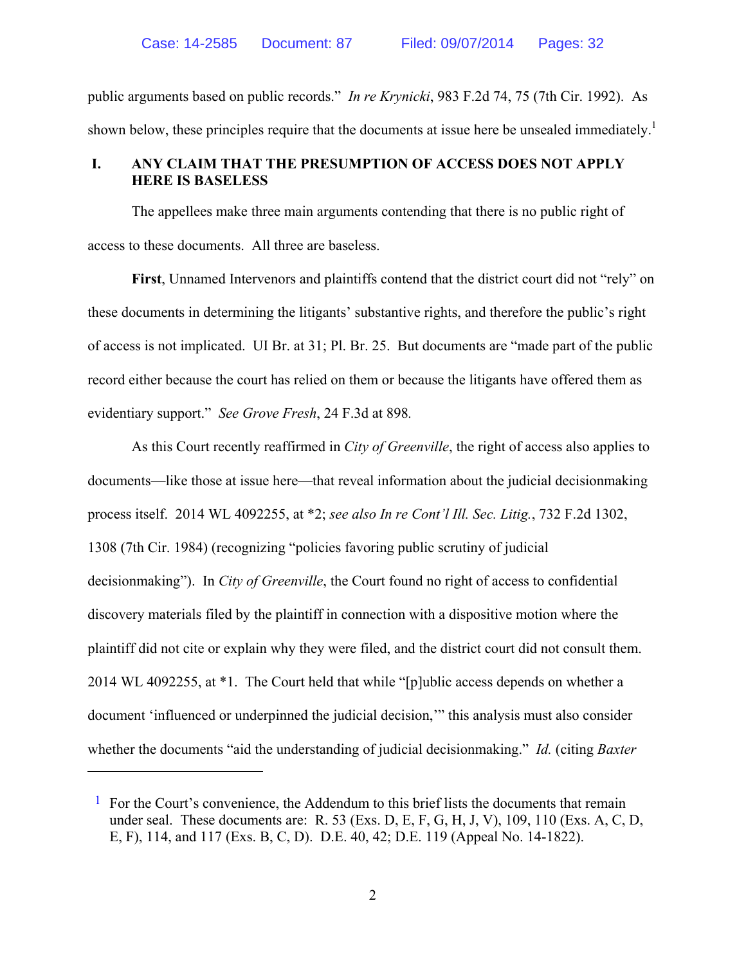public arguments based on public records." *In re Krynicki*, 983 F.2d 74, 75 (7th Cir. 1992). As shown below, these principles require that the documents at issue here be unsealed immediately.<sup>1</sup>

# **I. ANY CLAIM THAT THE PRESUMPTION OF ACCESS DOES NOT APPLY HERE IS BASELESS**

The appellees make three main arguments contending that there is no public right of access to these documents. All three are baseless.

**First**, Unnamed Intervenors and plaintiffs contend that the district court did not "rely" on these documents in determining the litigants' substantive rights, and therefore the public's right of access is not implicated. UI Br. at 31; Pl. Br. 25. But documents are "made part of the public record either because the court has relied on them or because the litigants have offered them as evidentiary support." *See Grove Fresh*, 24 F.3d at 898*.*

As this Court recently reaffirmed in *City of Greenville*, the right of access also applies to documents—like those at issue here—that reveal information about the judicial decisionmaking process itself. 2014 WL 4092255, at \*2; *see also In re Cont'l Ill. Sec. Litig.*, 732 F.2d 1302, 1308 (7th Cir. 1984) (recognizing "policies favoring public scrutiny of judicial decisionmaking"). In *City of Greenville*, the Court found no right of access to confidential discovery materials filed by the plaintiff in connection with a dispositive motion where the plaintiff did not cite or explain why they were filed, and the district court did not consult them. 2014 WL 4092255, at \*1. The Court held that while "[p]ublic access depends on whether a document 'influenced or underpinned the judicial decision,'" this analysis must also consider whether the documents "aid the understanding of judicial decisionmaking." *Id.* (citing *Baxter* 

 $<sup>1</sup>$  For the Court's convenience, the Addendum to this brief lists the documents that remain</sup> under seal. These documents are: R. 53 (Exs. D, E, F, G, H, J, V), 109, 110 (Exs. A, C, D, E, F), 114, and 117 (Exs. B, C, D). D.E. 40, 42; D.E. 119 (Appeal No. 14-1822).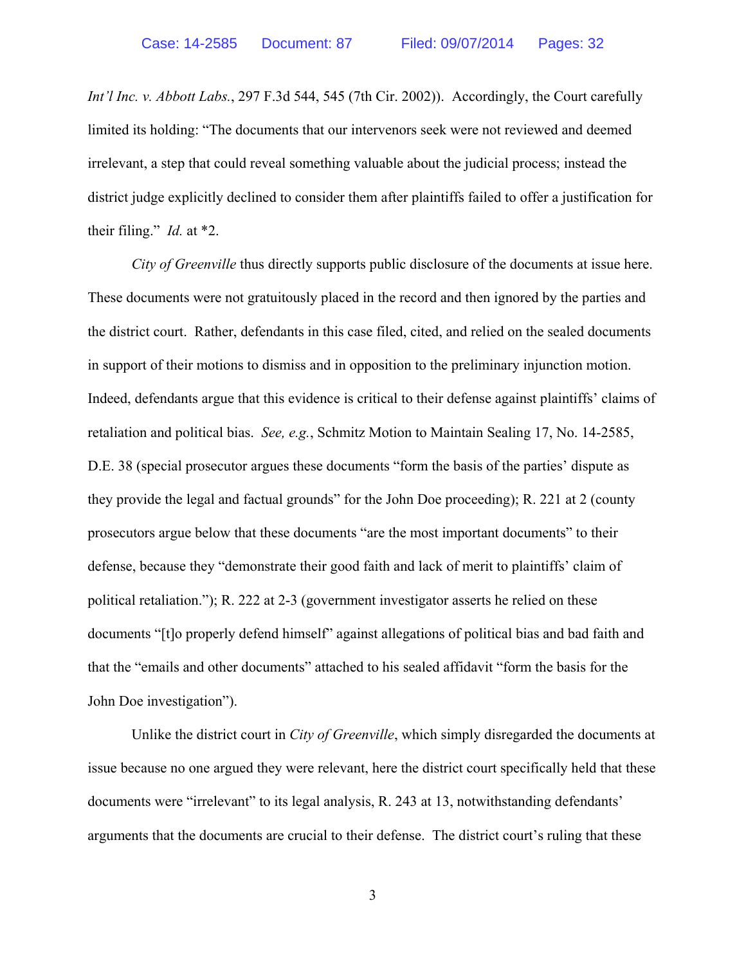*Int'l Inc. v. Abbott Labs.*, 297 F.3d 544, 545 (7th Cir. 2002)). Accordingly, the Court carefully limited its holding: "The documents that our intervenors seek were not reviewed and deemed irrelevant, a step that could reveal something valuable about the judicial process; instead the district judge explicitly declined to consider them after plaintiffs failed to offer a justification for their filing." *Id.* at \*2.

*City of Greenville* thus directly supports public disclosure of the documents at issue here. These documents were not gratuitously placed in the record and then ignored by the parties and the district court. Rather, defendants in this case filed, cited, and relied on the sealed documents in support of their motions to dismiss and in opposition to the preliminary injunction motion. Indeed, defendants argue that this evidence is critical to their defense against plaintiffs' claims of retaliation and political bias. *See, e.g.*, Schmitz Motion to Maintain Sealing 17, No. 14-2585, D.E. 38 (special prosecutor argues these documents "form the basis of the parties' dispute as they provide the legal and factual grounds" for the John Doe proceeding); R. 221 at 2 (county prosecutors argue below that these documents "are the most important documents" to their defense, because they "demonstrate their good faith and lack of merit to plaintiffs' claim of political retaliation."); R. 222 at 2-3 (government investigator asserts he relied on these documents "[t]o properly defend himself" against allegations of political bias and bad faith and that the "emails and other documents" attached to his sealed affidavit "form the basis for the John Doe investigation").

Unlike the district court in *City of Greenville*, which simply disregarded the documents at issue because no one argued they were relevant, here the district court specifically held that these documents were "irrelevant" to its legal analysis, R. 243 at 13, notwithstanding defendants' arguments that the documents are crucial to their defense. The district court's ruling that these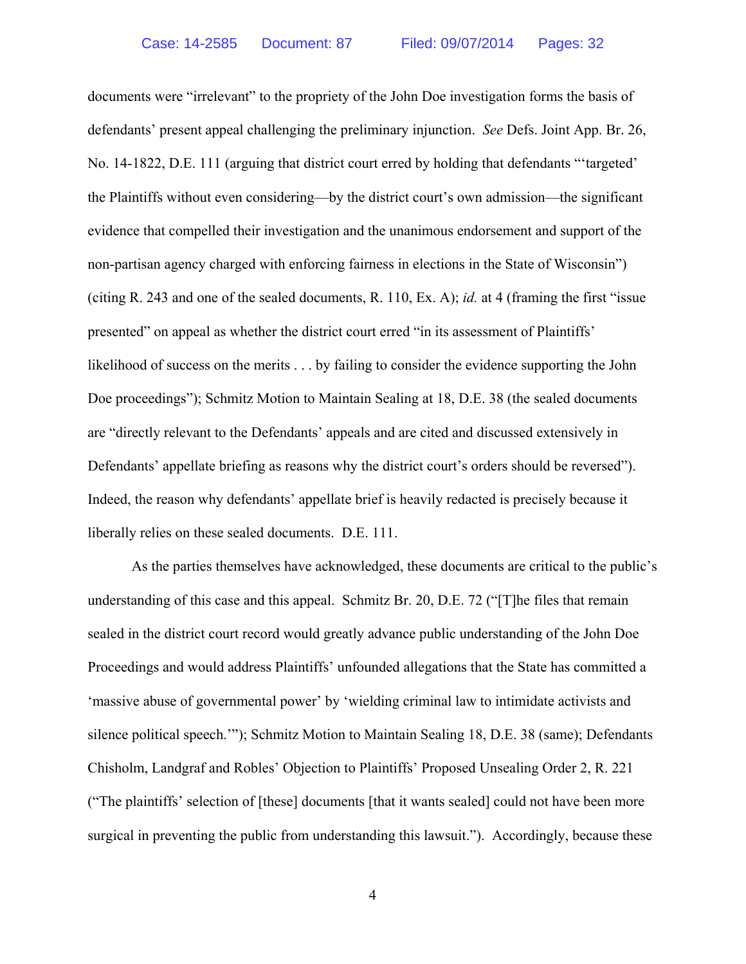documents were "irrelevant" to the propriety of the John Doe investigation forms the basis of defendants' present appeal challenging the preliminary injunction. *See* Defs. Joint App. Br. 26, No. 14-1822, D.E. 111 (arguing that district court erred by holding that defendants "'targeted' the Plaintiffs without even considering—by the district court's own admission—the significant evidence that compelled their investigation and the unanimous endorsement and support of the non-partisan agency charged with enforcing fairness in elections in the State of Wisconsin") (citing R. 243 and one of the sealed documents, R. 110, Ex. A); *id.* at 4 (framing the first "issue presented" on appeal as whether the district court erred "in its assessment of Plaintiffs' likelihood of success on the merits . . . by failing to consider the evidence supporting the John Doe proceedings"); Schmitz Motion to Maintain Sealing at 18, D.E. 38 (the sealed documents are "directly relevant to the Defendants' appeals and are cited and discussed extensively in Defendants' appellate briefing as reasons why the district court's orders should be reversed"). Indeed, the reason why defendants' appellate brief is heavily redacted is precisely because it liberally relies on these sealed documents. D.E. 111.

As the parties themselves have acknowledged, these documents are critical to the public's understanding of this case and this appeal. Schmitz Br. 20, D.E. 72 ("[T]he files that remain sealed in the district court record would greatly advance public understanding of the John Doe Proceedings and would address Plaintiffs' unfounded allegations that the State has committed a 'massive abuse of governmental power' by 'wielding criminal law to intimidate activists and silence political speech.'"); Schmitz Motion to Maintain Sealing 18, D.E. 38 (same); Defendants Chisholm, Landgraf and Robles' Objection to Plaintiffs' Proposed Unsealing Order 2, R. 221 ("The plaintiffs' selection of [these] documents [that it wants sealed] could not have been more surgical in preventing the public from understanding this lawsuit."). Accordingly, because these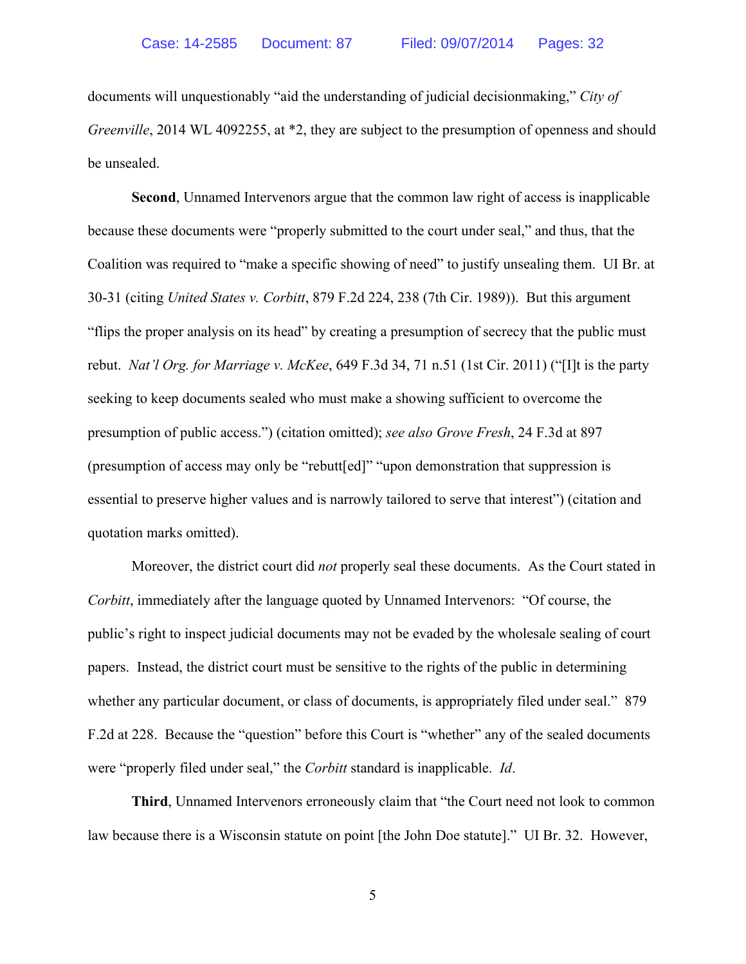documents will unquestionably "aid the understanding of judicial decisionmaking," *City of Greenville*, 2014 WL 4092255, at  $*2$ , they are subject to the presumption of openness and should be unsealed.

**Second**, Unnamed Intervenors argue that the common law right of access is inapplicable because these documents were "properly submitted to the court under seal," and thus, that the Coalition was required to "make a specific showing of need" to justify unsealing them. UI Br. at 30-31 (citing *United States v. Corbitt*, 879 F.2d 224, 238 (7th Cir. 1989)). But this argument "flips the proper analysis on its head" by creating a presumption of secrecy that the public must rebut. *Nat'l Org. for Marriage v. McKee*, 649 F.3d 34, 71 n.51 (1st Cir. 2011) ("[I]t is the party seeking to keep documents sealed who must make a showing sufficient to overcome the presumption of public access.") (citation omitted); *see also Grove Fresh*, 24 F.3d at 897 (presumption of access may only be "rebutt[ed]" "upon demonstration that suppression is essential to preserve higher values and is narrowly tailored to serve that interest") (citation and quotation marks omitted).

Moreover, the district court did *not* properly seal these documents. As the Court stated in *Corbitt*, immediately after the language quoted by Unnamed Intervenors: "Of course, the public's right to inspect judicial documents may not be evaded by the wholesale sealing of court papers. Instead, the district court must be sensitive to the rights of the public in determining whether any particular document, or class of documents, is appropriately filed under seal." 879 F.2d at 228. Because the "question" before this Court is "whether" any of the sealed documents were "properly filed under seal," the *Corbitt* standard is inapplicable. *Id*.

**Third**, Unnamed Intervenors erroneously claim that "the Court need not look to common law because there is a Wisconsin statute on point [the John Doe statute]." UI Br. 32. However,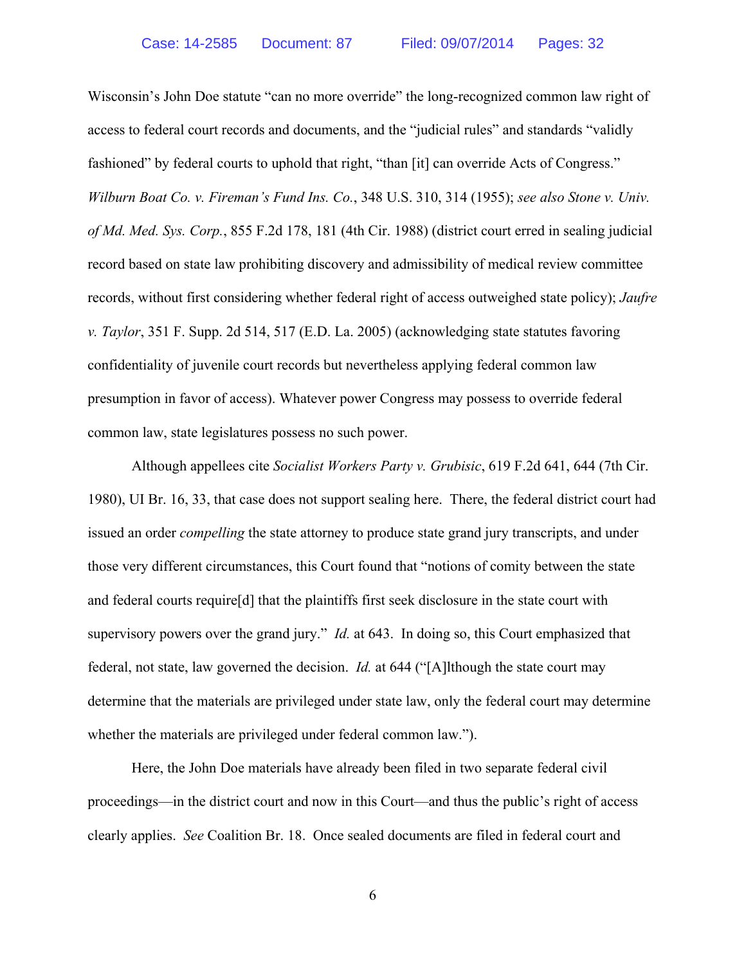Wisconsin's John Doe statute "can no more override" the long-recognized common law right of access to federal court records and documents, and the "judicial rules" and standards "validly fashioned" by federal courts to uphold that right, "than [it] can override Acts of Congress." *Wilburn Boat Co. v. Fireman's Fund Ins. Co.*, 348 U.S. 310, 314 (1955); *see also Stone v. Univ. of Md. Med. Sys. Corp.*, 855 F.2d 178, 181 (4th Cir. 1988) (district court erred in sealing judicial record based on state law prohibiting discovery and admissibility of medical review committee records, without first considering whether federal right of access outweighed state policy); *Jaufre v. Taylor*, 351 F. Supp. 2d 514, 517 (E.D. La. 2005) (acknowledging state statutes favoring confidentiality of juvenile court records but nevertheless applying federal common law presumption in favor of access). Whatever power Congress may possess to override federal common law, state legislatures possess no such power.

Although appellees cite *Socialist Workers Party v. Grubisic*, 619 F.2d 641, 644 (7th Cir. 1980), UI Br. 16, 33, that case does not support sealing here. There, the federal district court had issued an order *compelling* the state attorney to produce state grand jury transcripts, and under those very different circumstances, this Court found that "notions of comity between the state and federal courts require[d] that the plaintiffs first seek disclosure in the state court with supervisory powers over the grand jury." *Id.* at 643. In doing so, this Court emphasized that federal, not state, law governed the decision. *Id.* at 644 ("[A]lthough the state court may determine that the materials are privileged under state law, only the federal court may determine whether the materials are privileged under federal common law.").

Here, the John Doe materials have already been filed in two separate federal civil proceedings—in the district court and now in this Court—and thus the public's right of access clearly applies. *See* Coalition Br. 18. Once sealed documents are filed in federal court and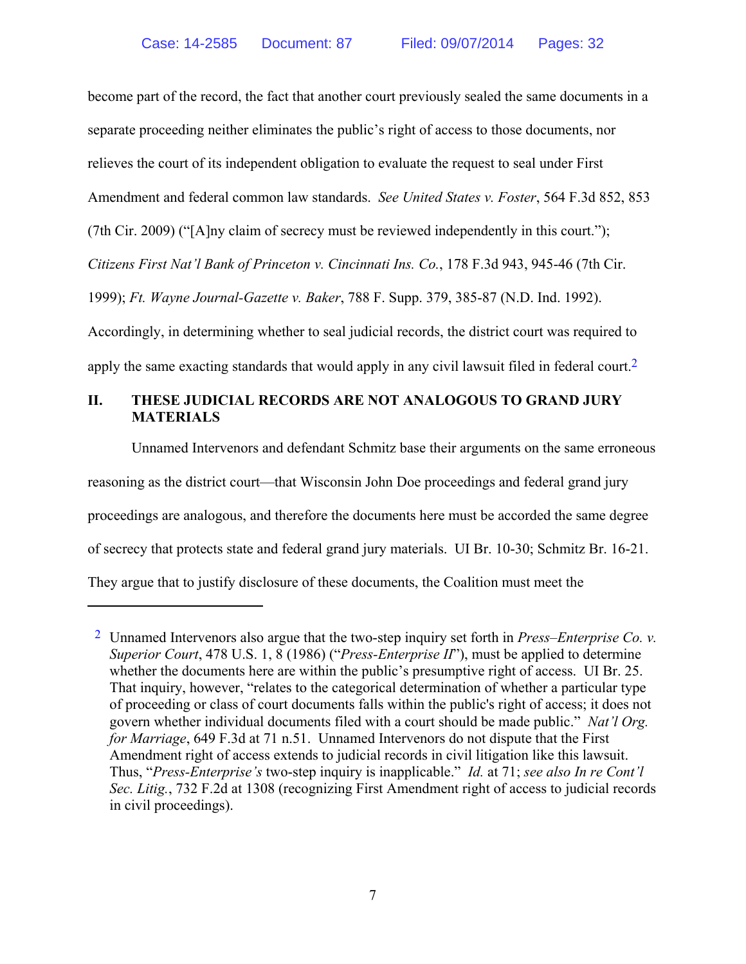become part of the record, the fact that another court previously sealed the same documents in a separate proceeding neither eliminates the public's right of access to those documents, nor relieves the court of its independent obligation to evaluate the request to seal under First Amendment and federal common law standards. *See United States v. Foster*, 564 F.3d 852, 853 (7th Cir. 2009) ("[A]ny claim of secrecy must be reviewed independently in this court."); *Citizens First Nat'l Bank of Princeton v. Cincinnati Ins. Co.*, 178 F.3d 943, 945-46 (7th Cir. 1999); *Ft. Wayne Journal-Gazette v. Baker*, 788 F. Supp. 379, 385-87 (N.D. Ind. 1992). Accordingly, in determining whether to seal judicial records, the district court was required to apply the same exacting standards that would apply in any civil lawsuit filed in federal court.<sup>2</sup>

# **II. THESE JUDICIAL RECORDS ARE NOT ANALOGOUS TO GRAND JURY MATERIALS**

Unnamed Intervenors and defendant Schmitz base their arguments on the same erroneous reasoning as the district court—that Wisconsin John Doe proceedings and federal grand jury proceedings are analogous, and therefore the documents here must be accorded the same degree of secrecy that protects state and federal grand jury materials. UI Br. 10-30; Schmitz Br. 16-21. They argue that to justify disclosure of these documents, the Coalition must meet the

<sup>2</sup> Unnamed Intervenors also argue that the two-step inquiry set forth in *Press–Enterprise Co. v. Superior Court*, 478 U.S. 1, 8 (1986) ("*Press-Enterprise II*"), must be applied to determine whether the documents here are within the public's presumptive right of access. UI Br. 25. That inquiry, however, "relates to the categorical determination of whether a particular type of proceeding or class of court documents falls within the public's right of access; it does not govern whether individual documents filed with a court should be made public." *Nat'l Org. for Marriage*, 649 F.3d at 71 n.51. Unnamed Intervenors do not dispute that the First Amendment right of access extends to judicial records in civil litigation like this lawsuit. Thus, "*Press-Enterprise's* two-step inquiry is inapplicable." *Id.* at 71; *see also In re Cont'l Sec. Litig.*, 732 F.2d at 1308 (recognizing First Amendment right of access to judicial records in civil proceedings).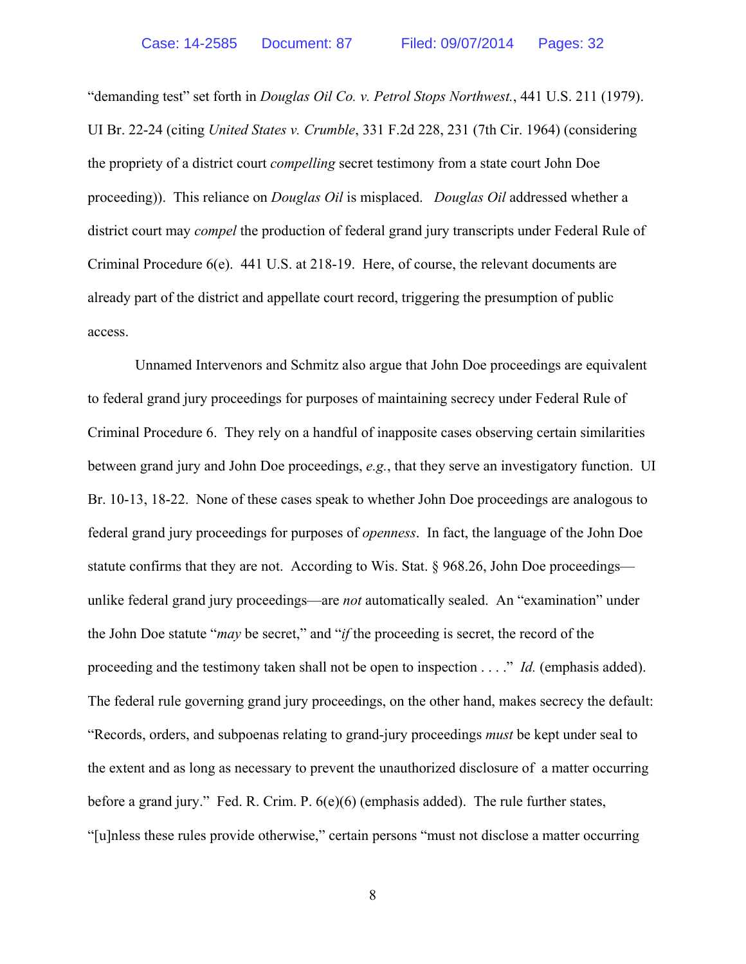"demanding test" set forth in *Douglas Oil Co. v. Petrol Stops Northwest.*, 441 U.S. 211 (1979). UI Br. 22-24 (citing *United States v. Crumble*, 331 F.2d 228, 231 (7th Cir. 1964) (considering the propriety of a district court *compelling* secret testimony from a state court John Doe proceeding)). This reliance on *Douglas Oil* is misplaced. *Douglas Oil* addressed whether a district court may *compel* the production of federal grand jury transcripts under Federal Rule of Criminal Procedure 6(e). 441 U.S. at 218-19. Here, of course, the relevant documents are already part of the district and appellate court record, triggering the presumption of public access.

 Unnamed Intervenors and Schmitz also argue that John Doe proceedings are equivalent to federal grand jury proceedings for purposes of maintaining secrecy under Federal Rule of Criminal Procedure 6. They rely on a handful of inapposite cases observing certain similarities between grand jury and John Doe proceedings, *e.g.*, that they serve an investigatory function. UI Br. 10-13, 18-22. None of these cases speak to whether John Doe proceedings are analogous to federal grand jury proceedings for purposes of *openness*. In fact, the language of the John Doe statute confirms that they are not. According to Wis. Stat. § 968.26, John Doe proceedings unlike federal grand jury proceedings—are *not* automatically sealed. An "examination" under the John Doe statute "*may* be secret," and "*if* the proceeding is secret, the record of the proceeding and the testimony taken shall not be open to inspection . . . ." *Id.* (emphasis added). The federal rule governing grand jury proceedings, on the other hand, makes secrecy the default: "Records, orders, and subpoenas relating to grand-jury proceedings *must* be kept under seal to the extent and as long as necessary to prevent the unauthorized disclosure of a matter occurring before a grand jury." Fed. R. Crim. P. 6(e)(6) (emphasis added). The rule further states, "[u]nless these rules provide otherwise," certain persons "must not disclose a matter occurring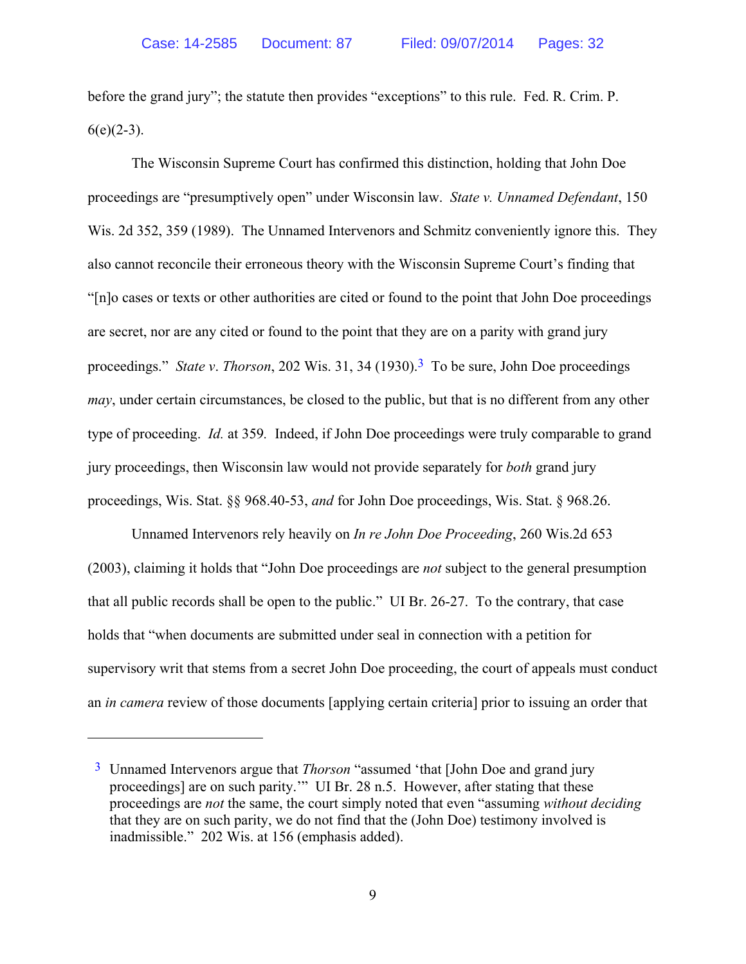before the grand jury"; the statute then provides "exceptions" to this rule. Fed. R. Crim. P.  $6(e)(2-3)$ .

The Wisconsin Supreme Court has confirmed this distinction, holding that John Doe proceedings are "presumptively open" under Wisconsin law. *State v. Unnamed Defendant*, 150 Wis. 2d 352, 359 (1989). The Unnamed Intervenors and Schmitz conveniently ignore this. They also cannot reconcile their erroneous theory with the Wisconsin Supreme Court's finding that "[n]o cases or texts or other authorities are cited or found to the point that John Doe proceedings are secret, nor are any cited or found to the point that they are on a parity with grand jury proceedings." *State v. Thorson*, 202 Wis. 31, 34 (1930).<sup>3</sup> To be sure, John Doe proceedings *may*, under certain circumstances, be closed to the public, but that is no different from any other type of proceeding. *Id.* at 359*.* Indeed, if John Doe proceedings were truly comparable to grand jury proceedings, then Wisconsin law would not provide separately for *both* grand jury proceedings, Wis. Stat. §§ 968.40-53, *and* for John Doe proceedings, Wis. Stat. § 968.26.

Unnamed Intervenors rely heavily on *In re John Doe Proceeding*, 260 Wis.2d 653 (2003), claiming it holds that "John Doe proceedings are *not* subject to the general presumption that all public records shall be open to the public." UI Br. 26-27. To the contrary, that case holds that "when documents are submitted under seal in connection with a petition for supervisory writ that stems from a secret John Doe proceeding, the court of appeals must conduct an *in camera* review of those documents [applying certain criteria] prior to issuing an order that

 $\overline{a}$ 

<sup>3</sup> Unnamed Intervenors argue that *Thorson* "assumed 'that [John Doe and grand jury proceedings] are on such parity.'" UI Br. 28 n.5. However, after stating that these proceedings are *not* the same, the court simply noted that even "assuming *without deciding* that they are on such parity, we do not find that the (John Doe) testimony involved is inadmissible." 202 Wis. at 156 (emphasis added).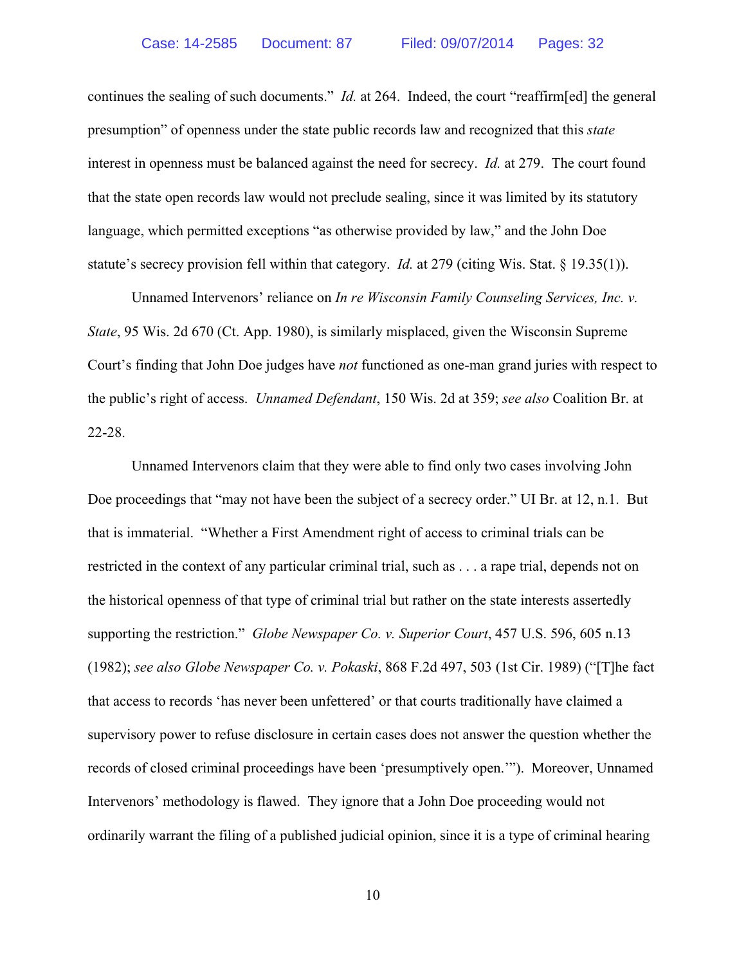continues the sealing of such documents." *Id.* at 264. Indeed, the court "reaffirm [ed] the general presumption" of openness under the state public records law and recognized that this *state* interest in openness must be balanced against the need for secrecy. *Id.* at 279. The court found that the state open records law would not preclude sealing, since it was limited by its statutory language, which permitted exceptions "as otherwise provided by law," and the John Doe statute's secrecy provision fell within that category. *Id.* at 279 (citing Wis. Stat. § 19.35(1)).

Unnamed Intervenors' reliance on *In re Wisconsin Family Counseling Services, Inc. v. State*, 95 Wis. 2d 670 (Ct. App. 1980), is similarly misplaced, given the Wisconsin Supreme Court's finding that John Doe judges have *not* functioned as one-man grand juries with respect to the public's right of access. *Unnamed Defendant*, 150 Wis. 2d at 359; *see also* Coalition Br. at 22-28.

Unnamed Intervenors claim that they were able to find only two cases involving John Doe proceedings that "may not have been the subject of a secrecy order." UI Br. at 12, n.1. But that is immaterial. "Whether a First Amendment right of access to criminal trials can be restricted in the context of any particular criminal trial, such as . . . a rape trial, depends not on the historical openness of that type of criminal trial but rather on the state interests assertedly supporting the restriction." *Globe Newspaper Co. v. Superior Court*, 457 U.S. 596, 605 n.13 (1982); *see also Globe Newspaper Co. v. Pokaski*, 868 F.2d 497, 503 (1st Cir. 1989) ("[T]he fact that access to records 'has never been unfettered' or that courts traditionally have claimed a supervisory power to refuse disclosure in certain cases does not answer the question whether the records of closed criminal proceedings have been 'presumptively open.'"). Moreover, Unnamed Intervenors' methodology is flawed. They ignore that a John Doe proceeding would not ordinarily warrant the filing of a published judicial opinion, since it is a type of criminal hearing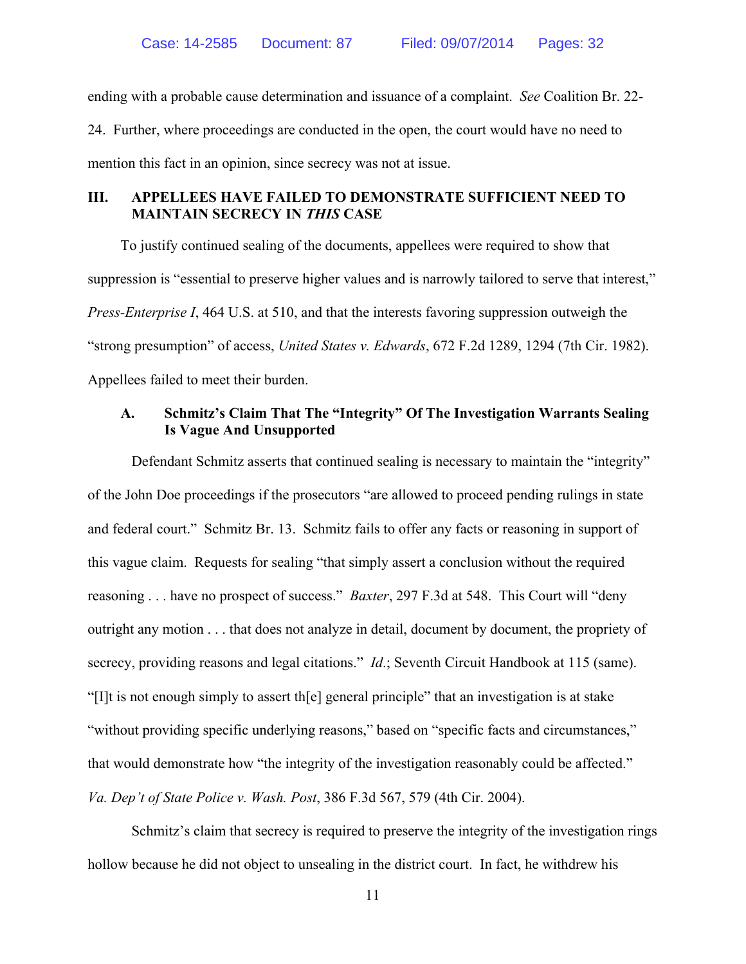ending with a probable cause determination and issuance of a complaint. *See* Coalition Br. 22- 24. Further, where proceedings are conducted in the open, the court would have no need to mention this fact in an opinion, since secrecy was not at issue.

# **III. APPELLEES HAVE FAILED TO DEMONSTRATE SUFFICIENT NEED TO MAINTAIN SECRECY IN** *THIS* **CASE**

To justify continued sealing of the documents, appellees were required to show that suppression is "essential to preserve higher values and is narrowly tailored to serve that interest," *Press-Enterprise I*, 464 U.S. at 510, and that the interests favoring suppression outweigh the "strong presumption" of access, *United States v. Edwards*, 672 F.2d 1289, 1294 (7th Cir. 1982). Appellees failed to meet their burden.

#### **A. Schmitz's Claim That The "Integrity" Of The Investigation Warrants Sealing Is Vague And Unsupported**

Defendant Schmitz asserts that continued sealing is necessary to maintain the "integrity" of the John Doe proceedings if the prosecutors "are allowed to proceed pending rulings in state and federal court." Schmitz Br. 13. Schmitz fails to offer any facts or reasoning in support of this vague claim. Requests for sealing "that simply assert a conclusion without the required reasoning . . . have no prospect of success." *Baxter*, 297 F.3d at 548. This Court will "deny outright any motion . . . that does not analyze in detail, document by document, the propriety of secrecy, providing reasons and legal citations." *Id*.; Seventh Circuit Handbook at 115 (same). "[I]t is not enough simply to assert th[e] general principle" that an investigation is at stake "without providing specific underlying reasons," based on "specific facts and circumstances," that would demonstrate how "the integrity of the investigation reasonably could be affected." *Va. Dep't of State Police v. Wash. Post*, 386 F.3d 567, 579 (4th Cir. 2004).

Schmitz's claim that secrecy is required to preserve the integrity of the investigation rings hollow because he did not object to unsealing in the district court. In fact, he withdrew his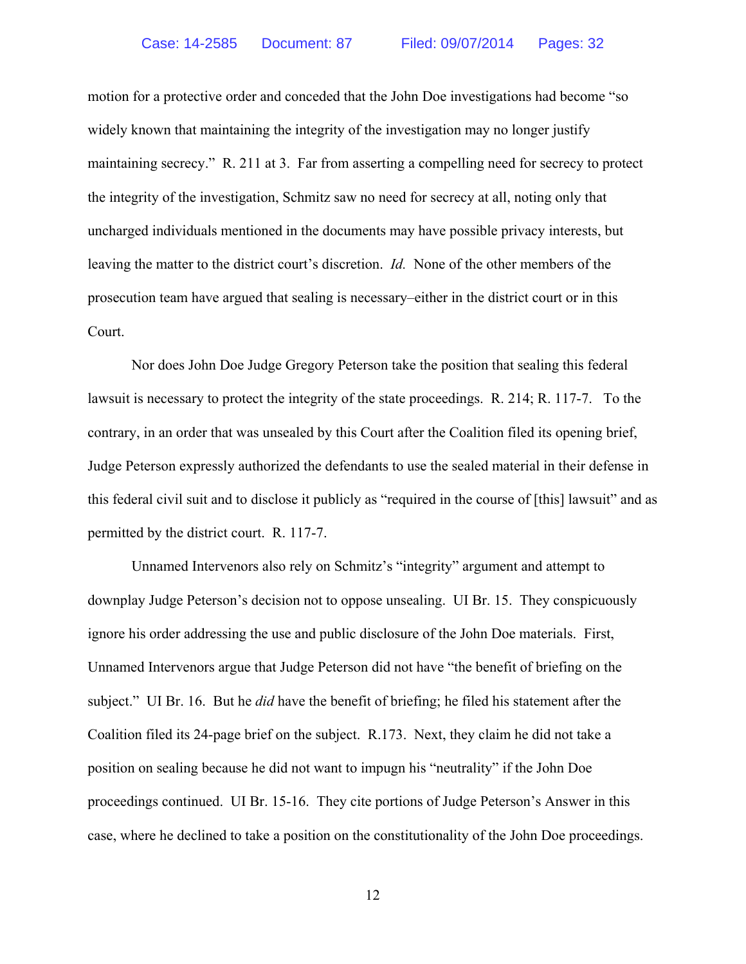motion for a protective order and conceded that the John Doe investigations had become "so widely known that maintaining the integrity of the investigation may no longer justify maintaining secrecy." R. 211 at 3. Far from asserting a compelling need for secrecy to protect the integrity of the investigation, Schmitz saw no need for secrecy at all, noting only that uncharged individuals mentioned in the documents may have possible privacy interests, but leaving the matter to the district court's discretion. *Id.* None of the other members of the prosecution team have argued that sealing is necessary–either in the district court or in this Court.

Nor does John Doe Judge Gregory Peterson take the position that sealing this federal lawsuit is necessary to protect the integrity of the state proceedings. R. 214; R. 117-7. To the contrary, in an order that was unsealed by this Court after the Coalition filed its opening brief, Judge Peterson expressly authorized the defendants to use the sealed material in their defense in this federal civil suit and to disclose it publicly as "required in the course of [this] lawsuit" and as permitted by the district court. R. 117-7.

Unnamed Intervenors also rely on Schmitz's "integrity" argument and attempt to downplay Judge Peterson's decision not to oppose unsealing. UI Br. 15. They conspicuously ignore his order addressing the use and public disclosure of the John Doe materials. First, Unnamed Intervenors argue that Judge Peterson did not have "the benefit of briefing on the subject." UI Br. 16. But he *did* have the benefit of briefing; he filed his statement after the Coalition filed its 24-page brief on the subject. R.173. Next, they claim he did not take a position on sealing because he did not want to impugn his "neutrality" if the John Doe proceedings continued. UI Br. 15-16. They cite portions of Judge Peterson's Answer in this case, where he declined to take a position on the constitutionality of the John Doe proceedings.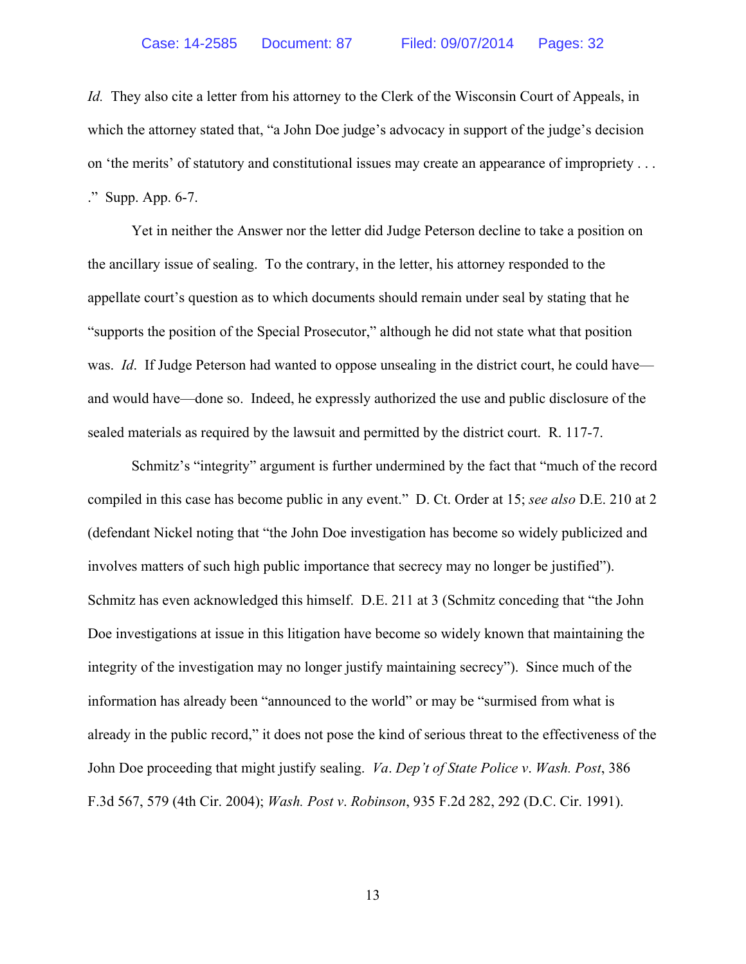*Id.* They also cite a letter from his attorney to the Clerk of the Wisconsin Court of Appeals, in which the attorney stated that, "a John Doe judge's advocacy in support of the judge's decision on 'the merits' of statutory and constitutional issues may create an appearance of impropriety . . . ." Supp. App. 6-7.

Yet in neither the Answer nor the letter did Judge Peterson decline to take a position on the ancillary issue of sealing. To the contrary, in the letter, his attorney responded to the appellate court's question as to which documents should remain under seal by stating that he "supports the position of the Special Prosecutor," although he did not state what that position was. *Id*. If Judge Peterson had wanted to oppose unsealing in the district court, he could have and would have—done so. Indeed, he expressly authorized the use and public disclosure of the sealed materials as required by the lawsuit and permitted by the district court. R. 117-7.

Schmitz's "integrity" argument is further undermined by the fact that "much of the record compiled in this case has become public in any event." D. Ct. Order at 15; *see also* D.E. 210 at 2 (defendant Nickel noting that "the John Doe investigation has become so widely publicized and involves matters of such high public importance that secrecy may no longer be justified"). Schmitz has even acknowledged this himself. D.E. 211 at 3 (Schmitz conceding that "the John Doe investigations at issue in this litigation have become so widely known that maintaining the integrity of the investigation may no longer justify maintaining secrecy"). Since much of the information has already been "announced to the world" or may be "surmised from what is already in the public record," it does not pose the kind of serious threat to the effectiveness of the John Doe proceeding that might justify sealing. *Va*. *Dep't of State Police v*. *Wash. Post*, 386 F.3d 567, 579 (4th Cir. 2004); *Wash. Post v*. *Robinson*, 935 F.2d 282, 292 (D.C. Cir. 1991).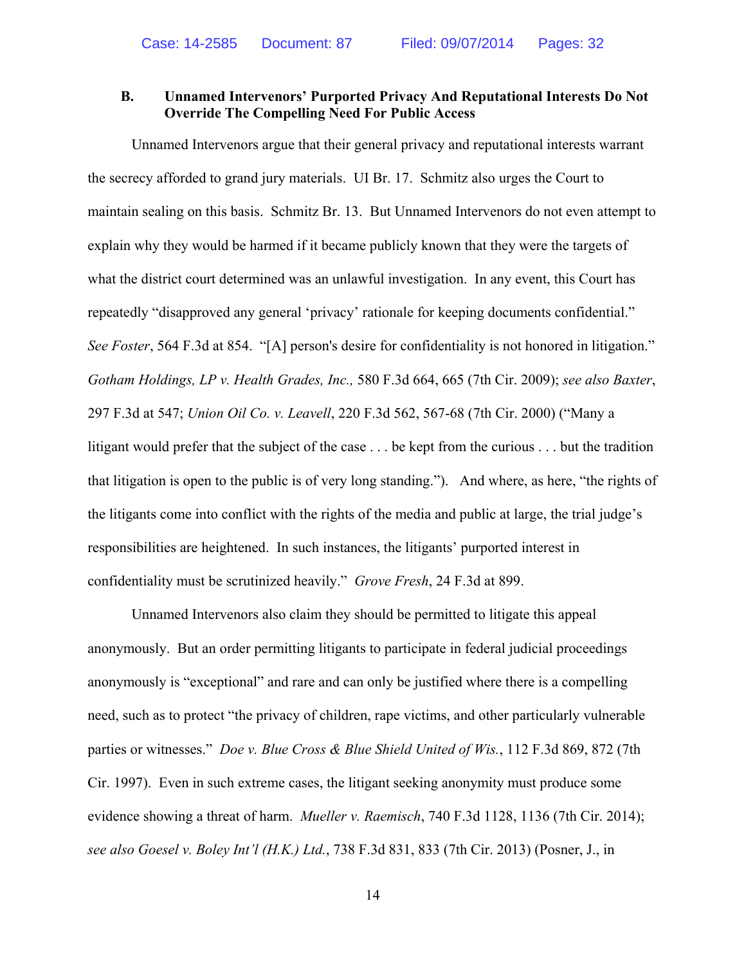#### **B. Unnamed Intervenors' Purported Privacy And Reputational Interests Do Not Override The Compelling Need For Public Access**

Unnamed Intervenors argue that their general privacy and reputational interests warrant the secrecy afforded to grand jury materials. UI Br. 17. Schmitz also urges the Court to maintain sealing on this basis. Schmitz Br. 13. But Unnamed Intervenors do not even attempt to explain why they would be harmed if it became publicly known that they were the targets of what the district court determined was an unlawful investigation. In any event, this Court has repeatedly "disapproved any general 'privacy' rationale for keeping documents confidential." *See Foster*, 564 F.3d at 854. "[A] person's desire for confidentiality is not honored in litigation." *Gotham Holdings, LP v. Health Grades, Inc.,* 580 F.3d 664, 665 (7th Cir. 2009); *see also Baxter*, 297 F.3d at 547; *Union Oil Co. v. Leavell*, 220 F.3d 562, 567-68 (7th Cir. 2000) ("Many a litigant would prefer that the subject of the case . . . be kept from the curious . . . but the tradition that litigation is open to the public is of very long standing."). And where, as here, "the rights of the litigants come into conflict with the rights of the media and public at large, the trial judge's responsibilities are heightened. In such instances, the litigants' purported interest in confidentiality must be scrutinized heavily." *Grove Fresh*, 24 F.3d at 899.

Unnamed Intervenors also claim they should be permitted to litigate this appeal anonymously. But an order permitting litigants to participate in federal judicial proceedings anonymously is "exceptional" and rare and can only be justified where there is a compelling need, such as to protect "the privacy of children, rape victims, and other particularly vulnerable parties or witnesses." *Doe v. Blue Cross & Blue Shield United of Wis.*, 112 F.3d 869, 872 (7th Cir. 1997). Even in such extreme cases, the litigant seeking anonymity must produce some evidence showing a threat of harm. *Mueller v. Raemisch*, 740 F.3d 1128, 1136 (7th Cir. 2014); *see also Goesel v. Boley Int'l (H.K.) Ltd.*, 738 F.3d 831, 833 (7th Cir. 2013) (Posner, J., in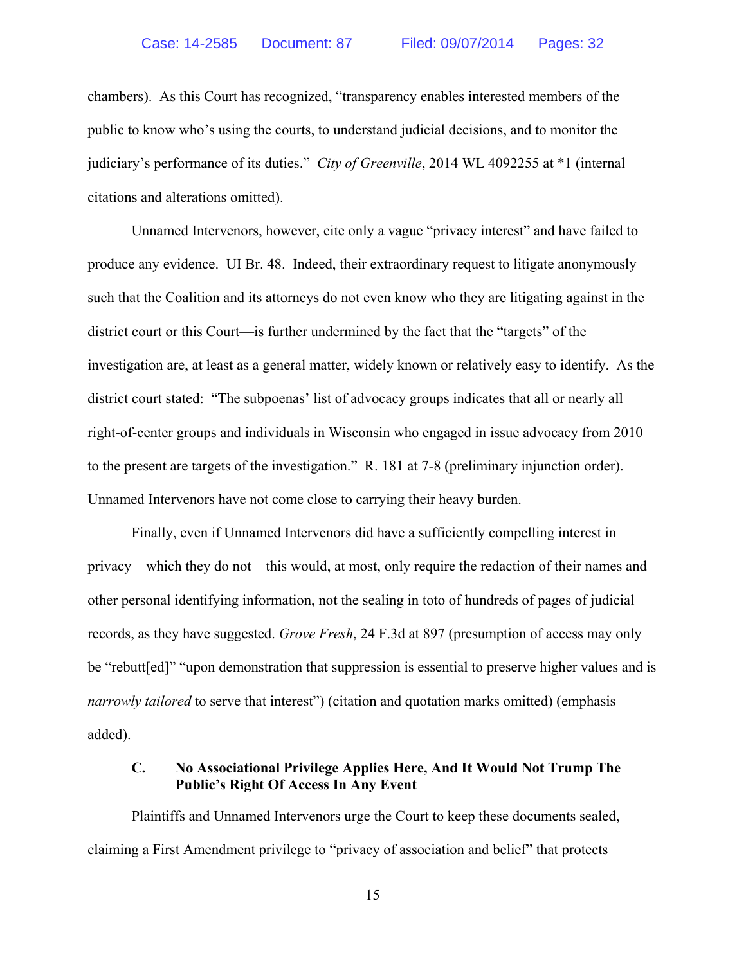chambers). As this Court has recognized, "transparency enables interested members of the public to know who's using the courts, to understand judicial decisions, and to monitor the judiciary's performance of its duties." *City of Greenville*, 2014 WL 4092255 at \*1 (internal citations and alterations omitted).

Unnamed Intervenors, however, cite only a vague "privacy interest" and have failed to produce any evidence. UI Br. 48. Indeed, their extraordinary request to litigate anonymously such that the Coalition and its attorneys do not even know who they are litigating against in the district court or this Court—is further undermined by the fact that the "targets" of the investigation are, at least as a general matter, widely known or relatively easy to identify. As the district court stated: "The subpoenas' list of advocacy groups indicates that all or nearly all right-of-center groups and individuals in Wisconsin who engaged in issue advocacy from 2010 to the present are targets of the investigation." R. 181 at 7-8 (preliminary injunction order). Unnamed Intervenors have not come close to carrying their heavy burden.

Finally, even if Unnamed Intervenors did have a sufficiently compelling interest in privacy—which they do not—this would, at most, only require the redaction of their names and other personal identifying information, not the sealing in toto of hundreds of pages of judicial records, as they have suggested. *Grove Fresh*, 24 F.3d at 897 (presumption of access may only be "rebutt[ed]" "upon demonstration that suppression is essential to preserve higher values and is *narrowly tailored* to serve that interest") (citation and quotation marks omitted) (emphasis added).

#### **C. No Associational Privilege Applies Here, And It Would Not Trump The Public's Right Of Access In Any Event**

Plaintiffs and Unnamed Intervenors urge the Court to keep these documents sealed, claiming a First Amendment privilege to "privacy of association and belief" that protects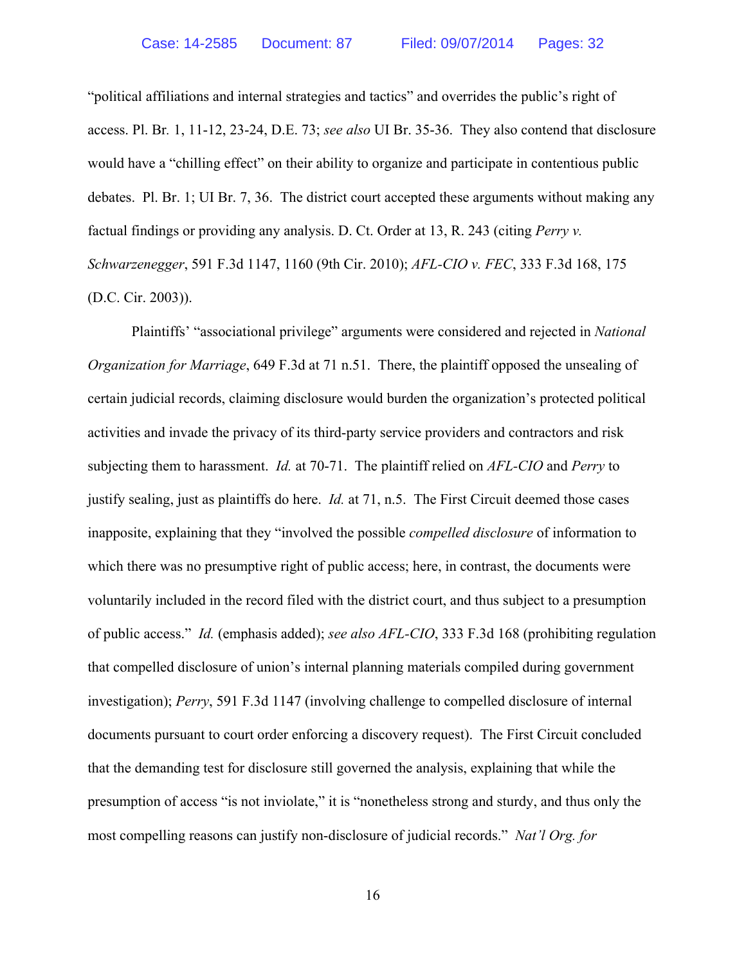"political affiliations and internal strategies and tactics" and overrides the public's right of access. Pl. Br*.* 1, 11-12, 23-24, D.E. 73; *see also* UI Br. 35-36. They also contend that disclosure would have a "chilling effect" on their ability to organize and participate in contentious public debates. Pl. Br. 1; UI Br. 7, 36. The district court accepted these arguments without making any factual findings or providing any analysis. D. Ct. Order at 13, R. 243 (citing *Perry v. Schwarzenegger*, 591 F.3d 1147, 1160 (9th Cir. 2010); *AFL-CIO v. FEC*, 333 F.3d 168, 175 (D.C. Cir. 2003)).

Plaintiffs' "associational privilege" arguments were considered and rejected in *National Organization for Marriage*, 649 F.3d at 71 n.51. There, the plaintiff opposed the unsealing of certain judicial records, claiming disclosure would burden the organization's protected political activities and invade the privacy of its third-party service providers and contractors and risk subjecting them to harassment. *Id.* at 70-71. The plaintiff relied on *AFL-CIO* and *Perry* to justify sealing, just as plaintiffs do here. *Id.* at 71, n.5. The First Circuit deemed those cases inapposite, explaining that they "involved the possible *compelled disclosure* of information to which there was no presumptive right of public access; here, in contrast, the documents were voluntarily included in the record filed with the district court, and thus subject to a presumption of public access." *Id.* (emphasis added); *see also AFL-CIO*, 333 F.3d 168 (prohibiting regulation that compelled disclosure of union's internal planning materials compiled during government investigation); *Perry*, 591 F.3d 1147 (involving challenge to compelled disclosure of internal documents pursuant to court order enforcing a discovery request). The First Circuit concluded that the demanding test for disclosure still governed the analysis, explaining that while the presumption of access "is not inviolate," it is "nonetheless strong and sturdy, and thus only the most compelling reasons can justify non-disclosure of judicial records." *Nat'l Org. for*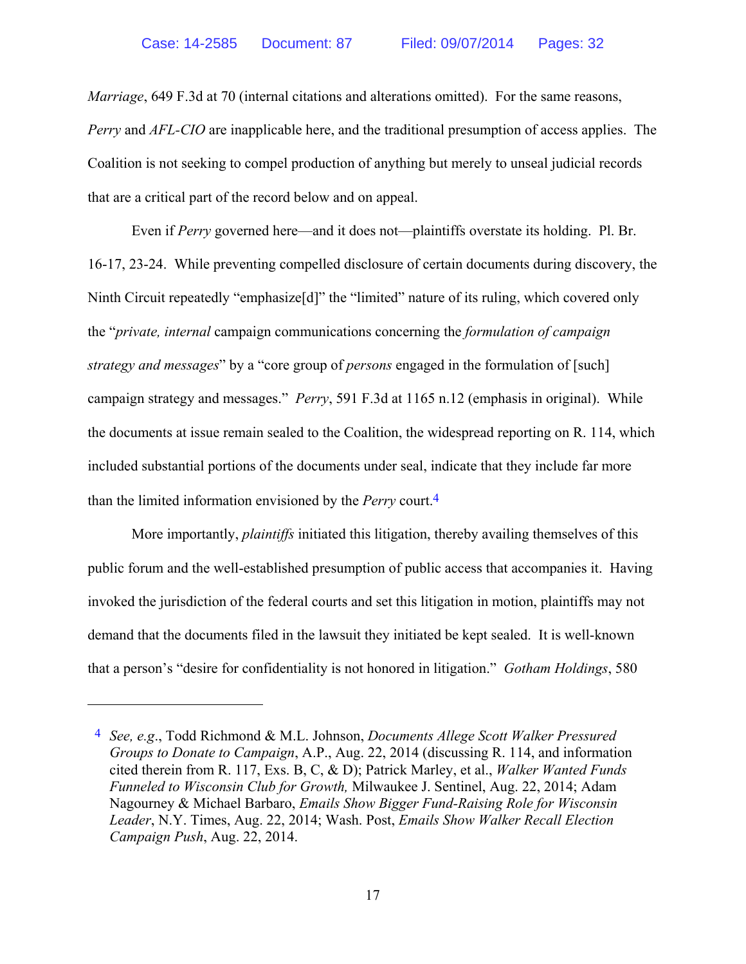*Marriage*, 649 F.3d at 70 (internal citations and alterations omitted). For the same reasons, *Perry* and *AFL-CIO* are inapplicable here, and the traditional presumption of access applies. The Coalition is not seeking to compel production of anything but merely to unseal judicial records that are a critical part of the record below and on appeal.

Even if *Perry* governed here—and it does not—plaintiffs overstate its holding. Pl. Br. 16-17, 23-24. While preventing compelled disclosure of certain documents during discovery, the Ninth Circuit repeatedly "emphasize<sup>[d]"</sup> the "limited" nature of its ruling, which covered only the "*private, internal* campaign communications concerning the *formulation of campaign strategy and messages*" by a "core group of *persons* engaged in the formulation of [such] campaign strategy and messages." *Perry*, 591 F.3d at 1165 n.12 (emphasis in original). While the documents at issue remain sealed to the Coalition, the widespread reporting on R. 114, which included substantial portions of the documents under seal, indicate that they include far more than the limited information envisioned by the *Perry* court.4

More importantly, *plaintiffs* initiated this litigation, thereby availing themselves of this public forum and the well-established presumption of public access that accompanies it. Having invoked the jurisdiction of the federal courts and set this litigation in motion, plaintiffs may not demand that the documents filed in the lawsuit they initiated be kept sealed. It is well-known that a person's "desire for confidentiality is not honored in litigation." *Gotham Holdings*, 580

 $\overline{a}$ 

<sup>4</sup> *See, e.g*., Todd Richmond & M.L. Johnson, *Documents Allege Scott Walker Pressured Groups to Donate to Campaign*, A.P., Aug. 22, 2014 (discussing R. 114, and information cited therein from R. 117, Exs. B, C, & D); Patrick Marley, et al., *Walker Wanted Funds Funneled to Wisconsin Club for Growth,* Milwaukee J. Sentinel, Aug. 22, 2014; Adam Nagourney & Michael Barbaro, *Emails Show Bigger Fund-Raising Role for Wisconsin Leader*, N.Y. Times, Aug. 22, 2014; Wash. Post, *Emails Show Walker Recall Election Campaign Push*, Aug. 22, 2014.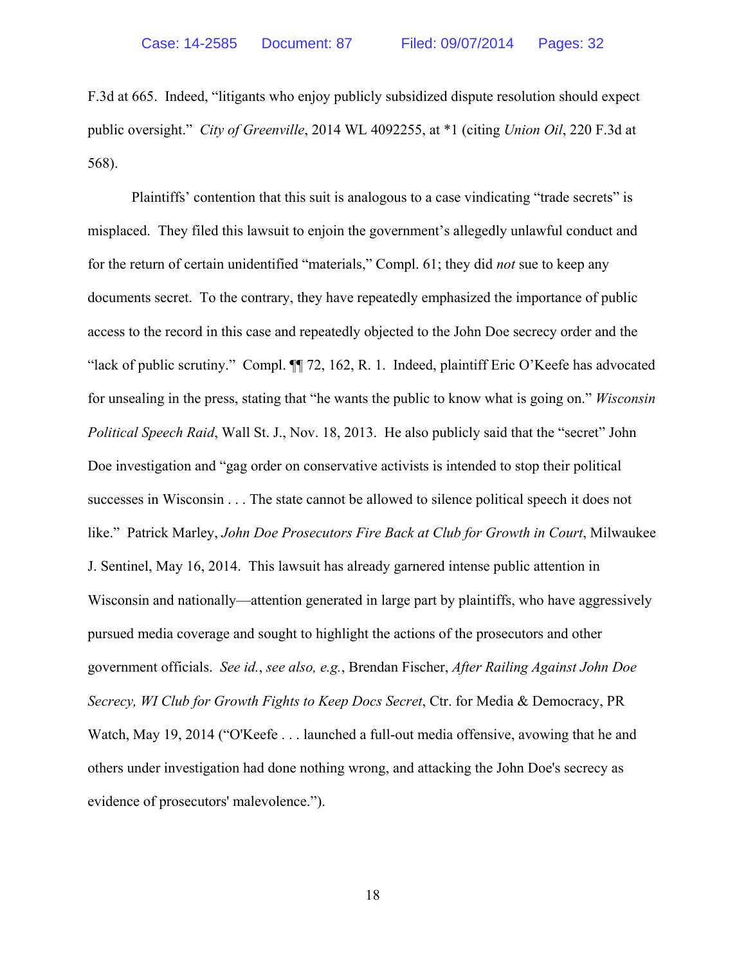F.3d at 665. Indeed, "litigants who enjoy publicly subsidized dispute resolution should expect public oversight." *City of Greenville*, 2014 WL 4092255, at \*1 (citing *Union Oil*, 220 F.3d at 568).

Plaintiffs' contention that this suit is analogous to a case vindicating "trade secrets" is misplaced. They filed this lawsuit to enjoin the government's allegedly unlawful conduct and for the return of certain unidentified "materials," Compl. 61; they did *not* sue to keep any documents secret. To the contrary, they have repeatedly emphasized the importance of public access to the record in this case and repeatedly objected to the John Doe secrecy order and the "lack of public scrutiny." Compl. ¶¶ 72, 162, R. 1. Indeed, plaintiff Eric O'Keefe has advocated for unsealing in the press, stating that "he wants the public to know what is going on." *Wisconsin Political Speech Raid*, Wall St. J., Nov. 18, 2013. He also publicly said that the "secret" John Doe investigation and "gag order on conservative activists is intended to stop their political successes in Wisconsin . . . The state cannot be allowed to silence political speech it does not like." Patrick Marley, *John Doe Prosecutors Fire Back at Club for Growth in Court*, Milwaukee J. Sentinel, May 16, 2014. This lawsuit has already garnered intense public attention in Wisconsin and nationally—attention generated in large part by plaintiffs, who have aggressively pursued media coverage and sought to highlight the actions of the prosecutors and other government officials. *See id.*, *see also, e.g.*, Brendan Fischer, *After Railing Against John Doe Secrecy, WI Club for Growth Fights to Keep Docs Secret*, Ctr. for Media & Democracy, PR Watch, May 19, 2014 ("O'Keefe . . . launched a full-out media offensive, avowing that he and others under investigation had done nothing wrong, and attacking the John Doe's secrecy as evidence of prosecutors' malevolence.").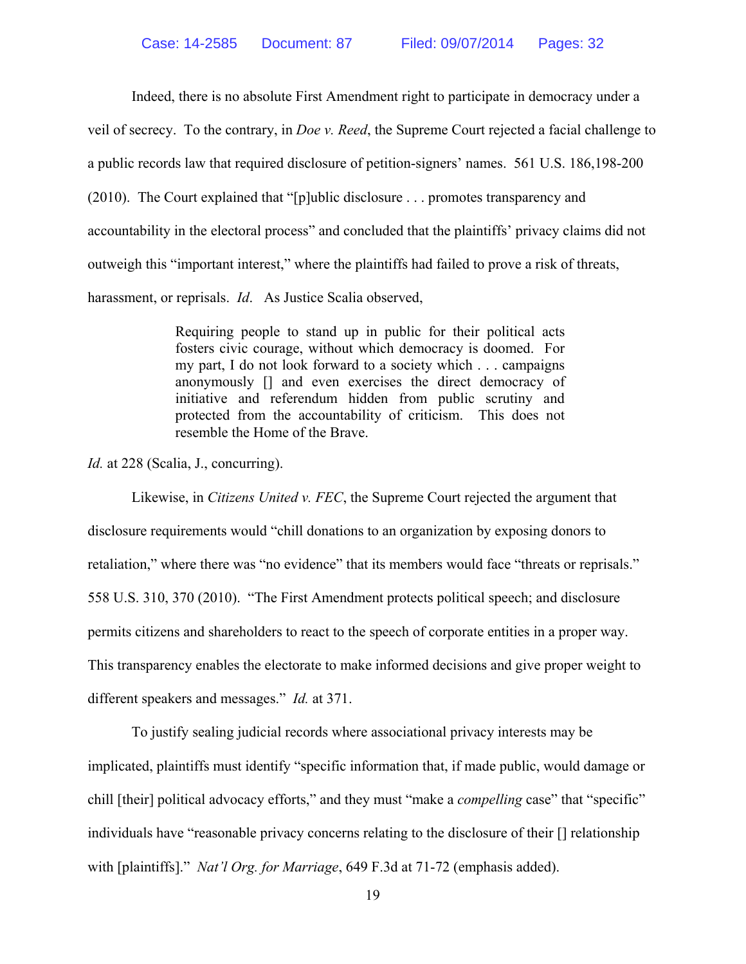Indeed, there is no absolute First Amendment right to participate in democracy under a

veil of secrecy. To the contrary, in *Doe v. Reed*, the Supreme Court rejected a facial challenge to

a public records law that required disclosure of petition-signers' names. 561 U.S. 186,198-200

(2010). The Court explained that "[p]ublic disclosure . . . promotes transparency and

accountability in the electoral process" and concluded that the plaintiffs' privacy claims did not

outweigh this "important interest," where the plaintiffs had failed to prove a risk of threats,

harassment, or reprisals. *Id*. As Justice Scalia observed,

Requiring people to stand up in public for their political acts fosters civic courage, without which democracy is doomed. For my part, I do not look forward to a society which . . . campaigns anonymously [] and even exercises the direct democracy of initiative and referendum hidden from public scrutiny and protected from the accountability of criticism. This does not resemble the Home of the Brave.

*Id.* at 228 (Scalia, J., concurring).

Likewise, in *Citizens United v. FEC*, the Supreme Court rejected the argument that disclosure requirements would "chill donations to an organization by exposing donors to retaliation," where there was "no evidence" that its members would face "threats or reprisals." 558 U.S. 310, 370 (2010). "The First Amendment protects political speech; and disclosure permits citizens and shareholders to react to the speech of corporate entities in a proper way. This transparency enables the electorate to make informed decisions and give proper weight to different speakers and messages." *Id.* at 371.

To justify sealing judicial records where associational privacy interests may be implicated, plaintiffs must identify "specific information that, if made public, would damage or chill [their] political advocacy efforts," and they must "make a *compelling* case" that "specific" individuals have "reasonable privacy concerns relating to the disclosure of their [] relationship with [plaintiffs]." *Nat'l Org. for Marriage*, 649 F.3d at 71-72 (emphasis added).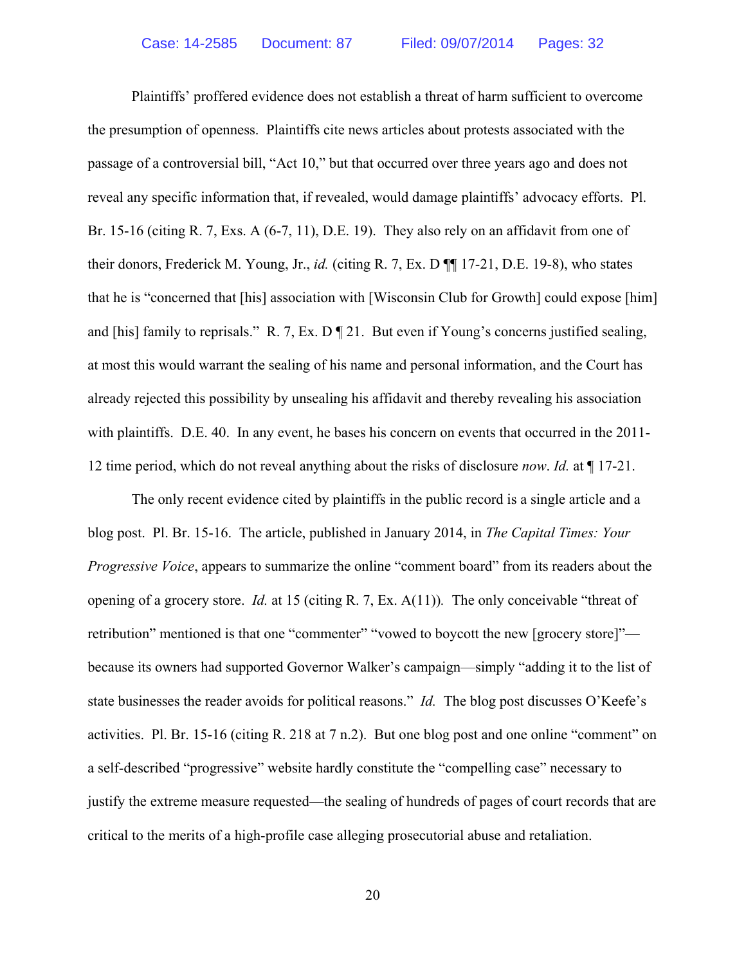Plaintiffs' proffered evidence does not establish a threat of harm sufficient to overcome the presumption of openness. Plaintiffs cite news articles about protests associated with the passage of a controversial bill, "Act 10," but that occurred over three years ago and does not reveal any specific information that, if revealed, would damage plaintiffs' advocacy efforts. Pl. Br. 15-16 (citing R. 7, Exs. A (6-7, 11), D.E. 19). They also rely on an affidavit from one of their donors, Frederick M. Young, Jr., *id.* (citing R. 7, Ex. D ¶¶ 17-21, D.E. 19-8), who states that he is "concerned that [his] association with [Wisconsin Club for Growth] could expose [him] and [his] family to reprisals." R. 7, Ex. D ¶ 21. But even if Young's concerns justified sealing, at most this would warrant the sealing of his name and personal information, and the Court has already rejected this possibility by unsealing his affidavit and thereby revealing his association with plaintiffs. D.E. 40. In any event, he bases his concern on events that occurred in the 2011- 12 time period, which do not reveal anything about the risks of disclosure *now*. *Id.* at ¶ 17-21.

The only recent evidence cited by plaintiffs in the public record is a single article and a blog post. Pl. Br. 15-16. The article, published in January 2014, in *The Capital Times: Your Progressive Voice*, appears to summarize the online "comment board" from its readers about the opening of a grocery store. *Id.* at 15 (citing R. 7, Ex. A(11))*.* The only conceivable "threat of retribution" mentioned is that one "commenter" "vowed to boycott the new [grocery store]" because its owners had supported Governor Walker's campaign—simply "adding it to the list of state businesses the reader avoids for political reasons." *Id.* The blog post discusses O'Keefe's activities. Pl. Br. 15-16 (citing R. 218 at 7 n.2). But one blog post and one online "comment" on a self-described "progressive" website hardly constitute the "compelling case" necessary to justify the extreme measure requested—the sealing of hundreds of pages of court records that are critical to the merits of a high-profile case alleging prosecutorial abuse and retaliation.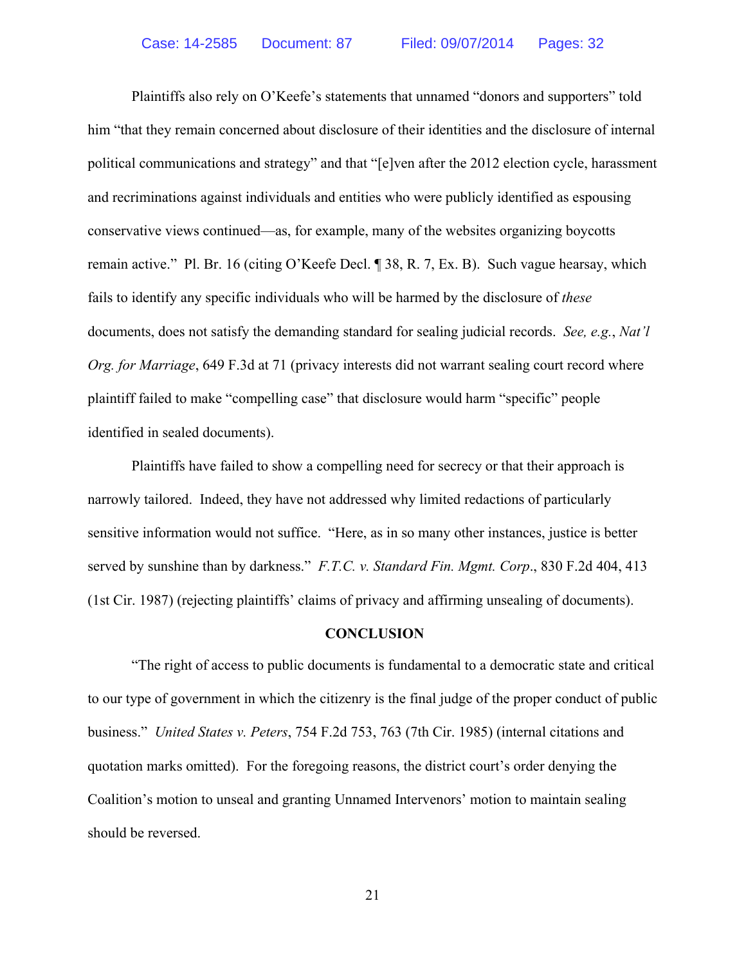Plaintiffs also rely on O'Keefe's statements that unnamed "donors and supporters" told him "that they remain concerned about disclosure of their identities and the disclosure of internal political communications and strategy" and that "[e]ven after the 2012 election cycle, harassment and recriminations against individuals and entities who were publicly identified as espousing conservative views continued—as, for example, many of the websites organizing boycotts remain active." Pl. Br. 16 (citing O'Keefe Decl. ¶ 38, R. 7, Ex. B). Such vague hearsay, which fails to identify any specific individuals who will be harmed by the disclosure of *these* documents, does not satisfy the demanding standard for sealing judicial records. *See, e.g.*, *Nat'l Org. for Marriage*, 649 F.3d at 71 (privacy interests did not warrant sealing court record where plaintiff failed to make "compelling case" that disclosure would harm "specific" people identified in sealed documents).

Plaintiffs have failed to show a compelling need for secrecy or that their approach is narrowly tailored. Indeed, they have not addressed why limited redactions of particularly sensitive information would not suffice. "Here, as in so many other instances, justice is better served by sunshine than by darkness." *F.T.C. v. Standard Fin. Mgmt. Corp*., 830 F.2d 404, 413 (1st Cir. 1987) (rejecting plaintiffs' claims of privacy and affirming unsealing of documents).

#### **CONCLUSION**

"The right of access to public documents is fundamental to a democratic state and critical to our type of government in which the citizenry is the final judge of the proper conduct of public business." *United States v. Peters*, 754 F.2d 753, 763 (7th Cir. 1985) (internal citations and quotation marks omitted). For the foregoing reasons, the district court's order denying the Coalition's motion to unseal and granting Unnamed Intervenors' motion to maintain sealing should be reversed.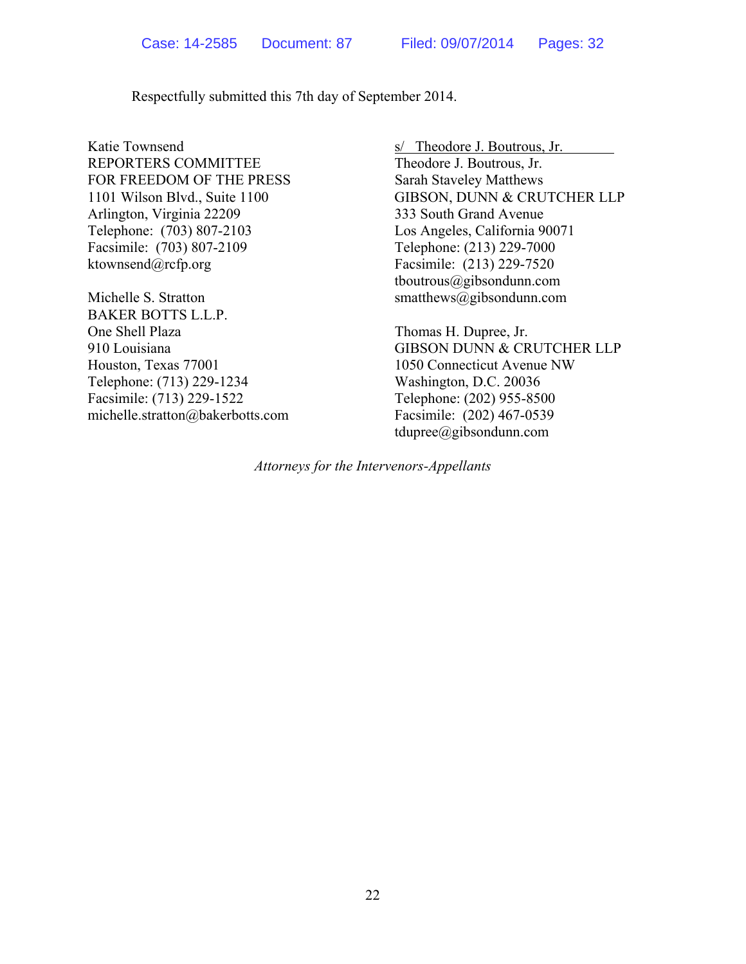Respectfully submitted this 7th day of September 2014.

Katie Townsend s/ Theodore J. Boutrous, Jr. REPORTERS COMMITTEE Theodore J. Boutrous, Jr. FOR FREEDOM OF THE PRESS Sarah Staveley Matthews Arlington, Virginia 22209 333 South Grand Avenue Telephone: (703) 807-2103 Los Angeles, California 90071 Facsimile: (703) 807-2109 Telephone: (213) 229-7000 ktownsend@rcfp.org Facsimile: (213) 229-7520

BAKER BOTTS L.L.P. One Shell Plaza Thomas H. Dupree, Jr. Houston, Texas 77001 1050 Connecticut Avenue NW Telephone: (713) 229-1234 Washington, D.C. 20036 Facsimile: (713) 229-1522 Telephone: (202) 955-8500 michelle.stratton@bakerbotts.com Facsimile: (202) 467-0539

1101 Wilson Blvd., Suite 1100 GIBSON, DUNN & CRUTCHER LLP tboutrous@gibsondunn.com Michelle S. Stratton smatthews@gibsondunn.com

910 Louisiana GIBSON DUNN & CRUTCHER LLP tdupree@gibsondunn.com

*Attorneys for the Intervenors-Appellants*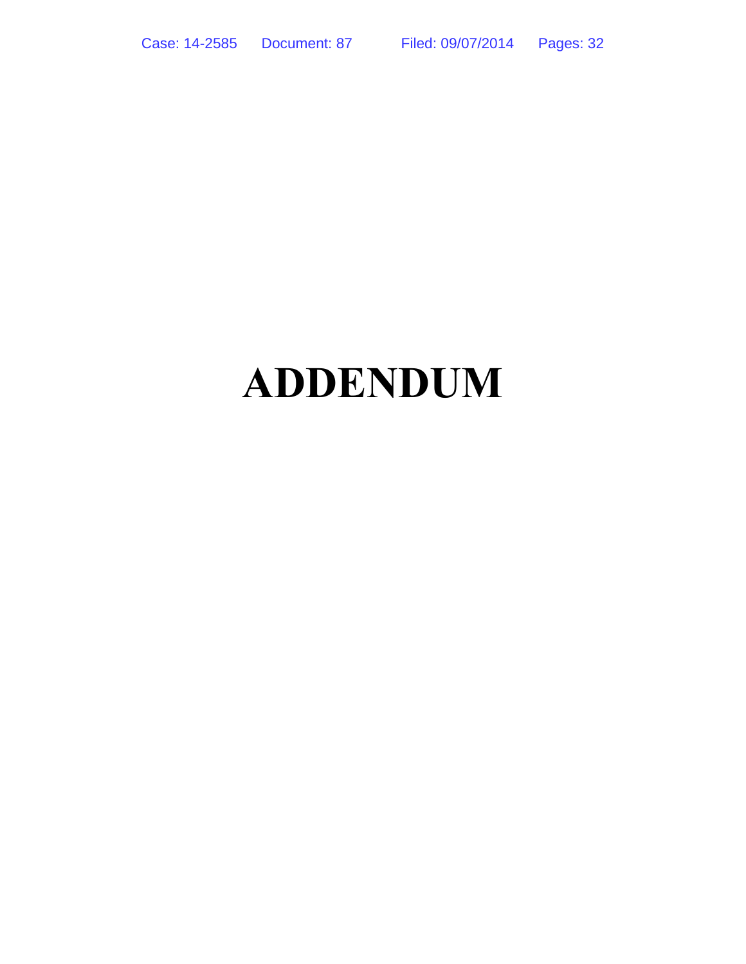# **ADDENDUM**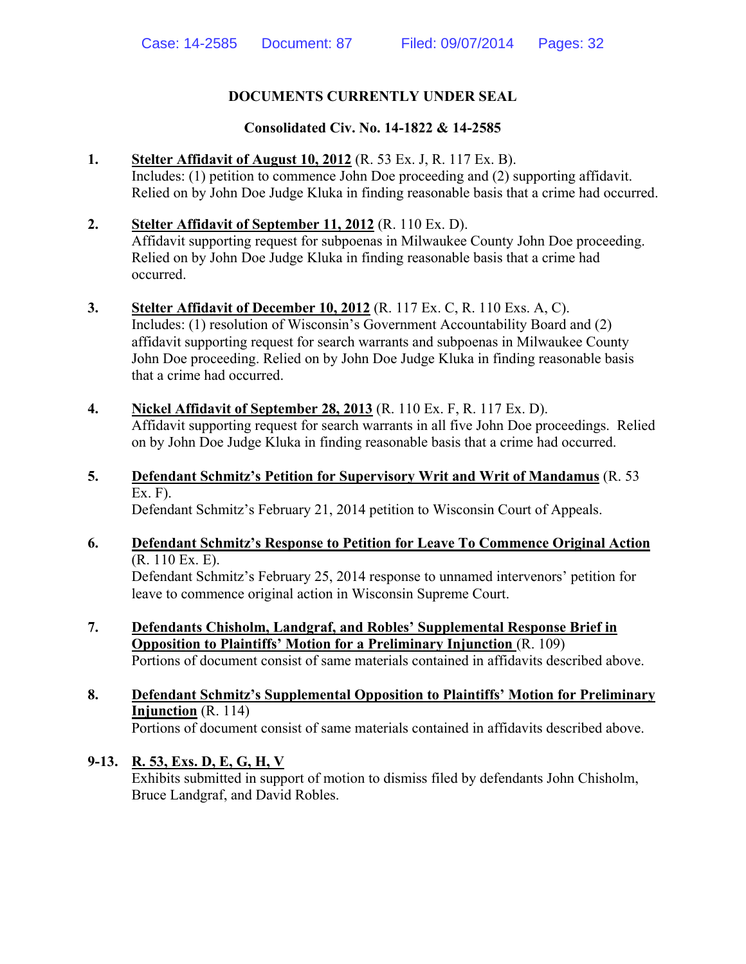# **DOCUMENTS CURRENTLY UNDER SEAL**

# **Consolidated Civ. No. 14-1822 & 14-2585**

- **1. Stelter Affidavit of August 10, 2012** (R. 53 Ex. J, R. 117 Ex. B). Includes: (1) petition to commence John Doe proceeding and (2) supporting affidavit. Relied on by John Doe Judge Kluka in finding reasonable basis that a crime had occurred.
- **2. Stelter Affidavit of September 11, 2012** (R. 110 Ex. D). Affidavit supporting request for subpoenas in Milwaukee County John Doe proceeding. Relied on by John Doe Judge Kluka in finding reasonable basis that a crime had occurred.
- **3. Stelter Affidavit of December 10, 2012** (R. 117 Ex. C, R. 110 Exs. A, C). Includes: (1) resolution of Wisconsin's Government Accountability Board and (2) affidavit supporting request for search warrants and subpoenas in Milwaukee County John Doe proceeding. Relied on by John Doe Judge Kluka in finding reasonable basis that a crime had occurred.
- **4. Nickel Affidavit of September 28, 2013** (R. 110 Ex. F, R. 117 Ex. D). Affidavit supporting request for search warrants in all five John Doe proceedings. Relied on by John Doe Judge Kluka in finding reasonable basis that a crime had occurred.
- **5. Defendant Schmitz's Petition for Supervisory Writ and Writ of Mandamus** (R. 53 Ex. F).

Defendant Schmitz's February 21, 2014 petition to Wisconsin Court of Appeals.

- **6. Defendant Schmitz's Response to Petition for Leave To Commence Original Action**  (R. 110 Ex. E). Defendant Schmitz's February 25, 2014 response to unnamed intervenors' petition for leave to commence original action in Wisconsin Supreme Court.
- **7. Defendants Chisholm, Landgraf, and Robles' Supplemental Response Brief in Opposition to Plaintiffs' Motion for a Preliminary Injunction** (R. 109) Portions of document consist of same materials contained in affidavits described above.
- **8. Defendant Schmitz's Supplemental Opposition to Plaintiffs' Motion for Preliminary Injunction** (R. 114) Portions of document consist of same materials contained in affidavits described above.

# **9-13. R. 53, Exs. D, E, G, H, V**

Exhibits submitted in support of motion to dismiss filed by defendants John Chisholm, Bruce Landgraf, and David Robles.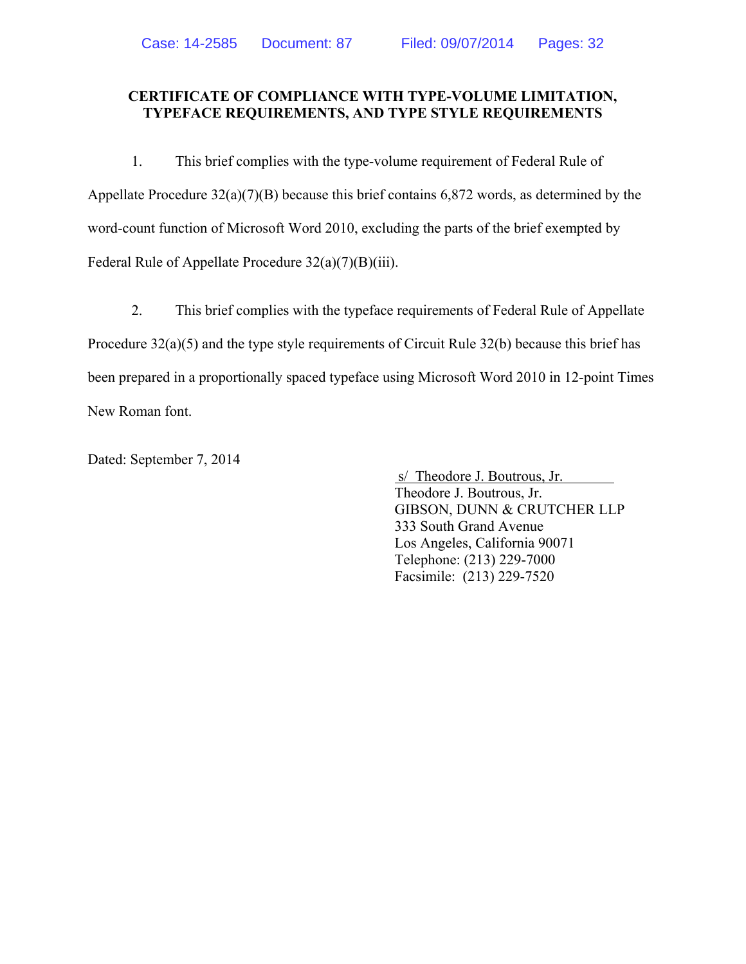#### **CERTIFICATE OF COMPLIANCE WITH TYPE-VOLUME LIMITATION, TYPEFACE REQUIREMENTS, AND TYPE STYLE REQUIREMENTS**

1. This brief complies with the type-volume requirement of Federal Rule of Appellate Procedure 32(a)(7)(B) because this brief contains 6,872 words, as determined by the word-count function of Microsoft Word 2010, excluding the parts of the brief exempted by Federal Rule of Appellate Procedure 32(a)(7)(B)(iii).

2. This brief complies with the typeface requirements of Federal Rule of Appellate Procedure 32(a)(5) and the type style requirements of Circuit Rule 32(b) because this brief has been prepared in a proportionally spaced typeface using Microsoft Word 2010 in 12-point Times New Roman font.

Dated: September 7, 2014

 s/ Theodore J. Boutrous, Jr. Theodore J. Boutrous, Jr. GIBSON, DUNN & CRUTCHER LLP 333 South Grand Avenue Los Angeles, California 90071 Telephone: (213) 229-7000 Facsimile: (213) 229-7520